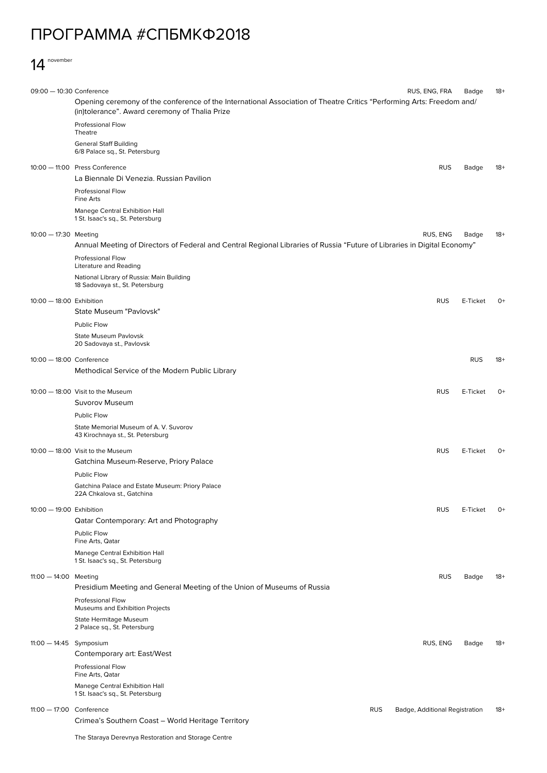## ПРОГРАММА #СПБМКФ2018

## 14 november

| 09:00 - 10:30 Conference  |                                                                                                                                                                         | RUS, ENG, FRA                  | Badge      | $18+$ |
|---------------------------|-------------------------------------------------------------------------------------------------------------------------------------------------------------------------|--------------------------------|------------|-------|
|                           | Opening ceremony of the conference of the International Association of Theatre Critics "Performing Arts: Freedom and/<br>(in)tolerance". Award ceremony of Thalia Prize |                                |            |       |
|                           | Professional Flow<br>Theatre                                                                                                                                            |                                |            |       |
|                           | <b>General Staff Building</b><br>6/8 Palace sq., St. Petersburg                                                                                                         |                                |            |       |
|                           | 10:00 - 11:00 Press Conference<br>La Biennale Di Venezia. Russian Pavilion                                                                                              | <b>RUS</b>                     | Badge      | 18+   |
|                           | Professional Flow<br>Fine Arts                                                                                                                                          |                                |            |       |
|                           | Manege Central Exhibition Hall<br>1 St. Isaac's sq., St. Petersburg                                                                                                     |                                |            |       |
| 10:00 - 17:30 Meeting     | Annual Meeting of Directors of Federal and Central Regional Libraries of Russia "Future of Libraries in Digital Economy"                                                | RUS, ENG                       | Badge      | $18+$ |
|                           | <b>Professional Flow</b><br>Literature and Reading                                                                                                                      |                                |            |       |
|                           | National Library of Russia: Main Building<br>18 Sadovaya st., St. Petersburg                                                                                            |                                |            |       |
| 10:00 - 18:00 Exhibition  |                                                                                                                                                                         | <b>RUS</b>                     | E-Ticket   | $O+$  |
|                           | State Museum "Pavlovsk"<br>Public Flow                                                                                                                                  |                                |            |       |
|                           | <b>State Museum Pavlovsk</b><br>20 Sadovaya st., Pavlovsk                                                                                                               |                                |            |       |
| 10:00 - 18:00 Conference  |                                                                                                                                                                         |                                | <b>RUS</b> | $18+$ |
|                           | Methodical Service of the Modern Public Library                                                                                                                         |                                |            |       |
|                           | 10:00 - 18:00 Visit to the Museum<br><b>Suvorov Museum</b>                                                                                                              | <b>RUS</b>                     | E-Ticket   | $O+$  |
|                           | Public Flow                                                                                                                                                             |                                |            |       |
|                           | State Memorial Museum of A. V. Suvorov<br>43 Kirochnaya st., St. Petersburg                                                                                             |                                |            |       |
|                           | 10:00 - 18:00 Visit to the Museum<br>Gatchina Museum-Reserve, Priory Palace                                                                                             | <b>RUS</b>                     | E-Ticket   | 0+    |
|                           | Public Flow                                                                                                                                                             |                                |            |       |
|                           | Gatchina Palace and Estate Museum: Priory Palace<br>22A Chkalova st., Gatchina                                                                                          |                                |            |       |
| 10:00 - 19:00 Exhibition  | Qatar Contemporary: Art and Photography                                                                                                                                 | <b>RUS</b>                     | E-Ticket   | $0+$  |
|                           | Public Flow<br>Fine Arts, Qatar                                                                                                                                         |                                |            |       |
|                           | Manege Central Exhibition Hall<br>1 St. Isaac's sq., St. Petersburg                                                                                                     |                                |            |       |
| 11:00 - 14:00 Meeting     |                                                                                                                                                                         | <b>RUS</b>                     | Badge      | $18+$ |
|                           | Presidium Meeting and General Meeting of the Union of Museums of Russia<br><b>Professional Flow</b><br>Museums and Exhibition Projects                                  |                                |            |       |
|                           | State Hermitage Museum<br>2 Palace sq., St. Petersburg                                                                                                                  |                                |            |       |
| $11:00 - 14:45$ Symposium |                                                                                                                                                                         | RUS, ENG                       | Badge      | $18+$ |
|                           | Contemporary art: East/West<br>Professional Flow                                                                                                                        |                                |            |       |
|                           | Fine Arts, Qatar<br>Manege Central Exhibition Hall                                                                                                                      |                                |            |       |
|                           | 1 St. Isaac's sq., St. Petersburg                                                                                                                                       |                                |            |       |
| 11:00 - 17:00 Conference  | <b>RUS</b><br>Crimea's Southern Coast – World Heritage Territory                                                                                                        | Badge, Additional Registration |            | $18+$ |
|                           |                                                                                                                                                                         |                                |            |       |

The Staraya Derevnya Restoration and Storage Centre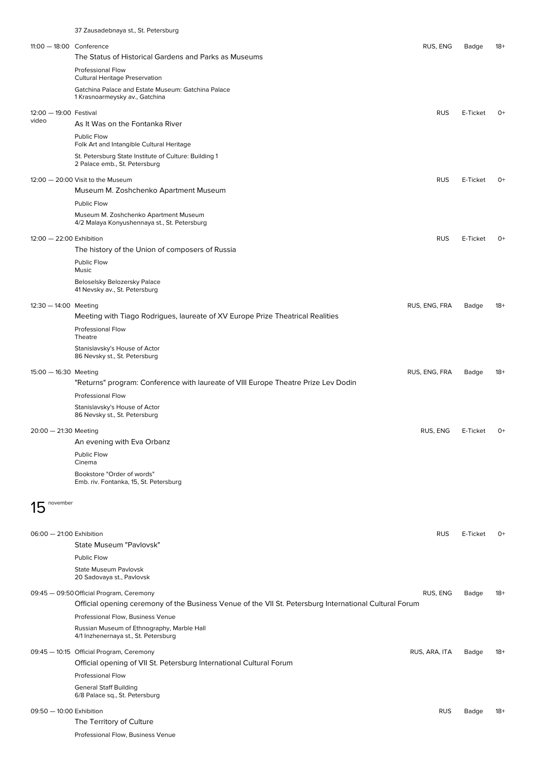|                                 | 37 Zausadebnaya st., St. Petersburg                                                                                                                |               |          |       |
|---------------------------------|----------------------------------------------------------------------------------------------------------------------------------------------------|---------------|----------|-------|
| 11:00 - 18:00 Conference        |                                                                                                                                                    | RUS, ENG      | Badge    | 18+   |
|                                 | The Status of Historical Gardens and Parks as Museums                                                                                              |               |          |       |
|                                 | Professional Flow<br><b>Cultural Heritage Preservation</b>                                                                                         |               |          |       |
|                                 | Gatchina Palace and Estate Museum: Gatchina Palace                                                                                                 |               |          |       |
|                                 | 1 Krasnoarmeysky av., Gatchina                                                                                                                     |               |          |       |
| 12:00 - 19:00 Festival<br>video | As It Was on the Fontanka River                                                                                                                    | <b>RUS</b>    | E-Ticket | $O+$  |
|                                 | <b>Public Flow</b>                                                                                                                                 |               |          |       |
|                                 | Folk Art and Intangible Cultural Heritage                                                                                                          |               |          |       |
|                                 | St. Petersburg State Institute of Culture: Building 1<br>2 Palace emb., St. Petersburg                                                             |               |          |       |
|                                 | 12:00 - 20:00 Visit to the Museum                                                                                                                  | <b>RUS</b>    | E-Ticket | $O+$  |
|                                 | Museum M. Zoshchenko Apartment Museum                                                                                                              |               |          |       |
|                                 | <b>Public Flow</b>                                                                                                                                 |               |          |       |
|                                 | Museum M. Zoshchenko Apartment Museum<br>4/2 Malaya Konyushennaya st., St. Petersburg                                                              |               |          |       |
| 12:00 - 22:00 Exhibition        |                                                                                                                                                    | <b>RUS</b>    | E-Ticket | $O+$  |
|                                 | The history of the Union of composers of Russia                                                                                                    |               |          |       |
|                                 | Public Flow<br>Music                                                                                                                               |               |          |       |
|                                 | Beloselsky Belozersky Palace<br>41 Nevsky av., St. Petersburg                                                                                      |               |          |       |
| $12:30 - 14:00$ Meeting         |                                                                                                                                                    | RUS, ENG, FRA | Badge    | 18+   |
|                                 | Meeting with Tiago Rodrigues, laureate of XV Europe Prize Theatrical Realities                                                                     |               |          |       |
|                                 | <b>Professional Flow</b><br>Theatre                                                                                                                |               |          |       |
|                                 | Stanislavsky's House of Actor<br>86 Nevsky st., St. Petersburg                                                                                     |               |          |       |
| $15:00 - 16:30$ Meeting         |                                                                                                                                                    | RUS, ENG, FRA | Badge    | $18+$ |
|                                 | "Returns" program: Conference with laureate of VIII Europe Theatre Prize Lev Dodin                                                                 |               |          |       |
|                                 | <b>Professional Flow</b>                                                                                                                           |               |          |       |
|                                 | Stanislavsky's House of Actor                                                                                                                      |               |          |       |
|                                 | 86 Nevsky st., St. Petersburg                                                                                                                      |               |          |       |
| 20:00 - 21:30 Meeting           | An evening with Eva Orbanz                                                                                                                         | RUS, ENG      | E-Ticket | $O+$  |
|                                 | Public Flow                                                                                                                                        |               |          |       |
|                                 | Cinema                                                                                                                                             |               |          |       |
|                                 | Bookstore "Order of words"<br>Emb. riv. Fontanka, 15, St. Petersburg                                                                               |               |          |       |
| november                        |                                                                                                                                                    |               |          |       |
|                                 |                                                                                                                                                    |               |          |       |
| 06:00 - 21:00 Exhibition        |                                                                                                                                                    | <b>RUS</b>    | E-Ticket | 0+    |
|                                 | State Museum "Pavlovsk"                                                                                                                            |               |          |       |
|                                 | Public Flow                                                                                                                                        |               |          |       |
|                                 | <b>State Museum Pavlovsk</b><br>20 Sadovaya st., Pavlovsk                                                                                          |               |          |       |
|                                 | 09:45 - 09:50 Official Program, Ceremony<br>Official opening ceremony of the Business Venue of the VII St. Petersburg International Cultural Forum | RUS, ENG      | Badge    | $18+$ |
|                                 | Professional Flow, Business Venue                                                                                                                  |               |          |       |
|                                 | Russian Museum of Ethnography, Marble Hall                                                                                                         |               |          |       |
|                                 | 4/1 Inzhenernaya st., St. Petersburg                                                                                                               |               |          |       |
|                                 | 09:45 - 10:15 Official Program, Ceremony                                                                                                           | RUS, ARA, ITA | Badge    | 18+   |
|                                 | Official opening of VII St. Petersburg International Cultural Forum                                                                                |               |          |       |
|                                 | <b>Professional Flow</b>                                                                                                                           |               |          |       |
|                                 | <b>General Staff Building</b><br>6/8 Palace sq., St. Petersburg                                                                                    |               |          |       |
| 09:50 - 10:00 Exhibition        |                                                                                                                                                    | <b>RUS</b>    | Badge    | 18+   |
|                                 | The Territory of Culture                                                                                                                           |               |          |       |

Professional Flow, Business Venue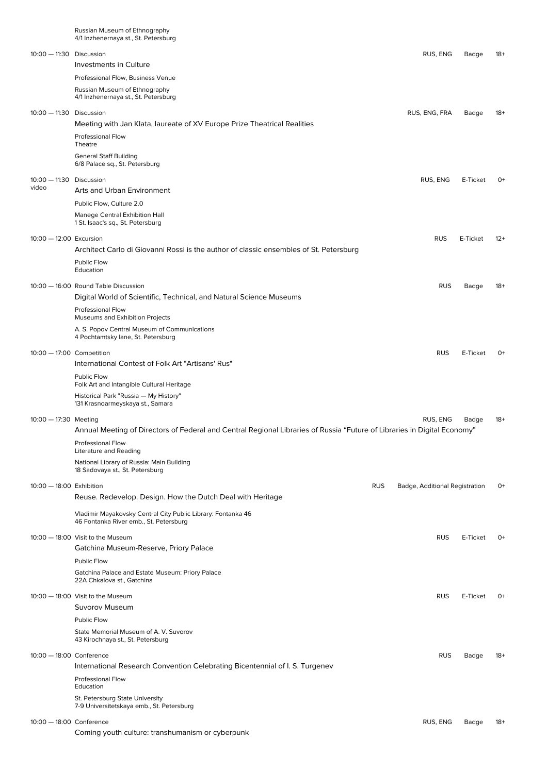|                            | Russian Museum of Ethnography<br>4/1 Inzhenernaya st., St. Petersburg                                                    |            |                                |          |       |
|----------------------------|--------------------------------------------------------------------------------------------------------------------------|------------|--------------------------------|----------|-------|
| 10:00 - 11:30 Discussion   |                                                                                                                          |            | RUS, ENG                       | Badge    | $18+$ |
|                            | Investments in Culture                                                                                                   |            |                                |          |       |
|                            | Professional Flow, Business Venue                                                                                        |            |                                |          |       |
|                            | Russian Museum of Ethnography<br>4/1 Inzhenernaya st., St. Petersburg                                                    |            |                                |          |       |
| $10:00 - 11:30$ Discussion |                                                                                                                          |            | RUS, ENG, FRA                  | Badge    | 18+   |
|                            | Meeting with Jan Klata, laureate of XV Europe Prize Theatrical Realities                                                 |            |                                |          |       |
|                            | <b>Professional Flow</b><br>Theatre                                                                                      |            |                                |          |       |
|                            | <b>General Staff Building</b><br>6/8 Palace sq., St. Petersburg                                                          |            |                                |          |       |
| $10:00 - 11:30$            | Discussion                                                                                                               |            | RUS, ENG                       | E-Ticket | $O+$  |
| video                      | Arts and Urban Environment                                                                                               |            |                                |          |       |
|                            | Public Flow, Culture 2.0                                                                                                 |            |                                |          |       |
|                            | Manege Central Exhibition Hall<br>1 St. Isaac's sq., St. Petersburg                                                      |            |                                |          |       |
| 10:00 - 12:00 Excursion    |                                                                                                                          |            | <b>RUS</b>                     | E-Ticket | $12+$ |
|                            | Architect Carlo di Giovanni Rossi is the author of classic ensembles of St. Petersburg                                   |            |                                |          |       |
|                            | Public Flow<br>Education                                                                                                 |            |                                |          |       |
|                            | 10:00 - 16:00 Round Table Discussion                                                                                     |            | <b>RUS</b>                     | Badge    | $18+$ |
|                            | Digital World of Scientific, Technical, and Natural Science Museums                                                      |            |                                |          |       |
|                            | <b>Professional Flow</b><br>Museums and Exhibition Projects                                                              |            |                                |          |       |
|                            | A. S. Popov Central Museum of Communications<br>4 Pochtamtsky lane, St. Petersburg                                       |            |                                |          |       |
| 10:00 - 17:00 Competition  | International Contest of Folk Art "Artisans' Rus"                                                                        |            | <b>RUS</b>                     | E-Ticket | $O+$  |
|                            | Public Flow<br>Folk Art and Intangible Cultural Heritage                                                                 |            |                                |          |       |
|                            | Historical Park "Russia - My History"                                                                                    |            |                                |          |       |
|                            | 131 Krasnoarmeyskaya st., Samara                                                                                         |            |                                |          |       |
| 10:00 - 17:30 Meeting      | Annual Meeting of Directors of Federal and Central Regional Libraries of Russia "Future of Libraries in Digital Economy" |            | RUS, ENG                       | Badge    | $18+$ |
|                            | <b>Professional Flow</b>                                                                                                 |            |                                |          |       |
|                            | Literature and Reading                                                                                                   |            |                                |          |       |
|                            | National Library of Russia: Main Building<br>18 Sadovaya st., St. Petersburg                                             |            |                                |          |       |
| 10:00 - 18:00 Exhibition   |                                                                                                                          | <b>RUS</b> | Badge, Additional Registration |          | $O+$  |
|                            | Reuse. Redevelop. Design. How the Dutch Deal with Heritage                                                               |            |                                |          |       |
|                            | Vladimir Mayakovsky Central City Public Library: Fontanka 46<br>46 Fontanka River emb., St. Petersburg                   |            |                                |          |       |
|                            | 10:00 - 18:00 Visit to the Museum                                                                                        |            | <b>RUS</b>                     | E-Ticket | $O+$  |
|                            | Gatchina Museum-Reserve, Priory Palace                                                                                   |            |                                |          |       |
|                            | Public Flow<br>Gatchina Palace and Estate Museum: Priory Palace                                                          |            |                                |          |       |
|                            | 22A Chkalova st., Gatchina                                                                                               |            |                                |          |       |
|                            | 10:00 - 18:00 Visit to the Museum                                                                                        |            | <b>RUS</b>                     | E-Ticket | $0+$  |
|                            | Suvorov Museum<br>Public Flow                                                                                            |            |                                |          |       |
|                            | State Memorial Museum of A. V. Suvorov                                                                                   |            |                                |          |       |
|                            | 43 Kirochnaya st., St. Petersburg                                                                                        |            |                                |          |       |
| 10:00 - 18:00 Conference   |                                                                                                                          |            | <b>RUS</b>                     | Badge    | $18+$ |
|                            | International Research Convention Celebrating Bicentennial of I. S. Turgenev<br><b>Professional Flow</b>                 |            |                                |          |       |
|                            | Education                                                                                                                |            |                                |          |       |
|                            | St. Petersburg State University<br>7-9 Universitetskaya emb., St. Petersburg                                             |            |                                |          |       |
| 10:00 - 18:00 Conference   |                                                                                                                          |            | RUS, ENG                       | Badge    | $18+$ |
|                            | Coming youth culture: transhumanism or cyberpunk                                                                         |            |                                |          |       |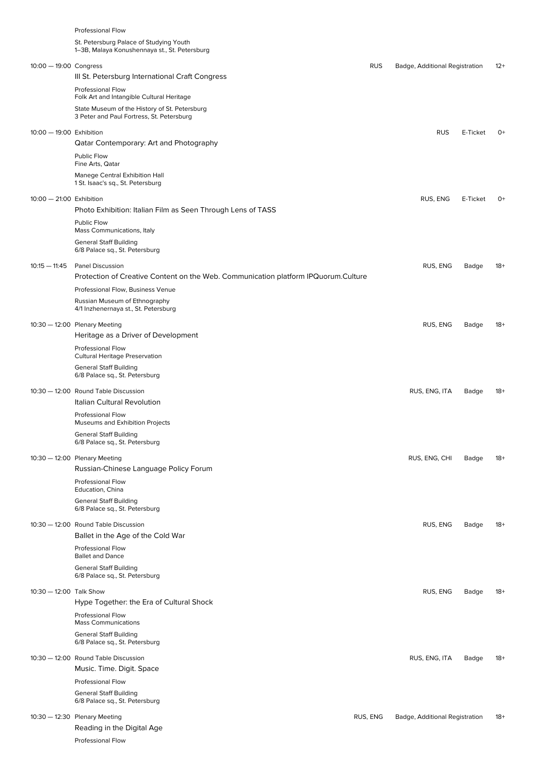|                            | Professional Flow                                                                                             |            |                                |          |       |
|----------------------------|---------------------------------------------------------------------------------------------------------------|------------|--------------------------------|----------|-------|
|                            | St. Petersburg Palace of Studying Youth<br>1–3B, Malaya Konushennaya st., St. Petersburg                      |            |                                |          |       |
| $10:00 - 19:00$ Congress   |                                                                                                               | <b>RUS</b> | Badge, Additional Registration |          | $12+$ |
|                            | III St. Petersburg International Craft Congress                                                               |            |                                |          |       |
|                            | Professional Flow<br>Folk Art and Intangible Cultural Heritage                                                |            |                                |          |       |
|                            | State Museum of the History of St. Petersburg<br>3 Peter and Paul Fortress, St. Petersburg                    |            |                                |          |       |
| 10:00 - 19:00 Exhibition   |                                                                                                               |            | <b>RUS</b>                     | E-Ticket | 0+    |
|                            | Qatar Contemporary: Art and Photography                                                                       |            |                                |          |       |
|                            | Public Flow<br>Fine Arts, Qatar                                                                               |            |                                |          |       |
|                            | Manege Central Exhibition Hall<br>1 St. Isaac's sq., St. Petersburg                                           |            |                                |          |       |
|                            |                                                                                                               |            |                                |          |       |
| $10:00 - 21:00$ Exhibition | Photo Exhibition: Italian Film as Seen Through Lens of TASS                                                   |            | RUS, ENG                       | E-Ticket | $O+$  |
|                            | Public Flow<br>Mass Communications, Italy                                                                     |            |                                |          |       |
|                            | <b>General Staff Building</b><br>6/8 Palace sq., St. Petersburg                                               |            |                                |          |       |
|                            |                                                                                                               |            |                                |          |       |
| $10:15 - 11:45$            | <b>Panel Discussion</b><br>Protection of Creative Content on the Web. Communication platform IPQuorum.Culture |            | RUS, ENG                       | Badge    | 18+   |
|                            | Professional Flow, Business Venue                                                                             |            |                                |          |       |
|                            | Russian Museum of Ethnography                                                                                 |            |                                |          |       |
|                            | 4/1 Inzhenernaya st., St. Petersburg                                                                          |            |                                |          |       |
|                            | 10:30 - 12:00 Plenary Meeting                                                                                 |            | RUS, ENG                       | Badge    | $18+$ |
|                            | Heritage as a Driver of Development                                                                           |            |                                |          |       |
|                            | <b>Professional Flow</b><br><b>Cultural Heritage Preservation</b>                                             |            |                                |          |       |
|                            | <b>General Staff Building</b><br>6/8 Palace sq., St. Petersburg                                               |            |                                |          |       |
|                            | 10:30 - 12:00 Round Table Discussion<br>Italian Cultural Revolution                                           |            | RUS, ENG, ITA                  | Badge    | $18+$ |
|                            | <b>Professional Flow</b><br>Museums and Exhibition Projects                                                   |            |                                |          |       |
|                            | <b>General Staff Building</b>                                                                                 |            |                                |          |       |
|                            | 6/8 Palace sq., St. Petersburg                                                                                |            |                                |          |       |
|                            | 10:30 - 12:00 Plenary Meeting<br>Russian-Chinese Language Policy Forum                                        |            | RUS, ENG, CHI                  | Badge    | $18+$ |
|                            | <b>Professional Flow</b><br>Education, China                                                                  |            |                                |          |       |
|                            | <b>General Staff Building</b><br>6/8 Palace sq., St. Petersburg                                               |            |                                |          |       |
|                            | 10:30 - 12:00 Round Table Discussion                                                                          |            | RUS, ENG                       | Badge    | 18+   |
|                            | Ballet in the Age of the Cold War                                                                             |            |                                |          |       |
|                            | <b>Professional Flow</b><br><b>Ballet and Dance</b>                                                           |            |                                |          |       |
|                            | <b>General Staff Building</b>                                                                                 |            |                                |          |       |
|                            | 6/8 Palace sq., St. Petersburg                                                                                |            |                                |          |       |
| 10:30 - 12:00 Talk Show    | Hype Together: the Era of Cultural Shock                                                                      |            | RUS, ENG                       | Badge    | $18+$ |
|                            | <b>Professional Flow</b><br><b>Mass Communications</b>                                                        |            |                                |          |       |
|                            | <b>General Staff Building</b><br>6/8 Palace sq., St. Petersburg                                               |            |                                |          |       |
|                            | 10:30 - 12:00 Round Table Discussion                                                                          |            | RUS, ENG, ITA                  | Badge    | $18+$ |
|                            | Music. Time. Digit. Space                                                                                     |            |                                |          |       |
|                            | <b>Professional Flow</b>                                                                                      |            |                                |          |       |
|                            | <b>General Staff Building</b><br>6/8 Palace sq., St. Petersburg                                               |            |                                |          |       |
|                            |                                                                                                               |            |                                |          |       |
|                            | 10:30 - 12:30 Plenary Meeting<br>Reading in the Digital Age                                                   | RUS, ENG   | Badge, Additional Registration |          | $18+$ |
|                            | <b>Professional Flow</b>                                                                                      |            |                                |          |       |
|                            |                                                                                                               |            |                                |          |       |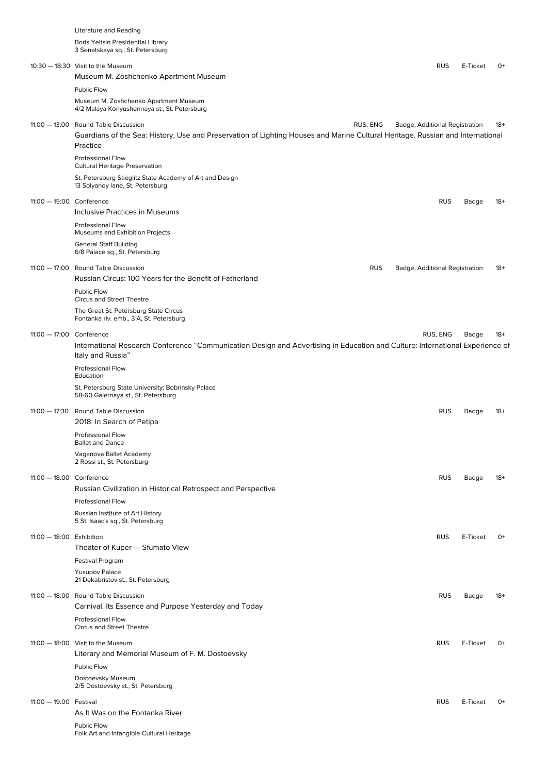|                          | <b>Literature and Reading</b>                                                                                                                                                                  |                                |          |       |
|--------------------------|------------------------------------------------------------------------------------------------------------------------------------------------------------------------------------------------|--------------------------------|----------|-------|
|                          | Boris Yeltsin Presidential Library<br>3 Senatskaya sq., St. Petersburg                                                                                                                         |                                |          |       |
|                          | 10:30 - 18:30 Visit to the Museum                                                                                                                                                              | <b>RUS</b>                     | E-Ticket | 0+    |
|                          | Museum M. Zoshchenko Apartment Museum                                                                                                                                                          |                                |          |       |
|                          | Public Flow                                                                                                                                                                                    |                                |          |       |
|                          | Museum M. Zoshchenko Apartment Museum<br>4/2 Malaya Konyushennaya st., St. Petersburg                                                                                                          |                                |          |       |
|                          | RUS, ENG<br>11:00 - 13:00 Round Table Discussion<br>Guardians of the Sea: History, Use and Preservation of Lighting Houses and Marine Cultural Heritage. Russian and International<br>Practice | Badge, Additional Registration |          | $18+$ |
|                          | <b>Professional Flow</b><br>Cultural Heritage Preservation                                                                                                                                     |                                |          |       |
|                          | St. Petersburg Stieglitz State Academy of Art and Design<br>13 Solyanoy lane, St. Petersburg                                                                                                   |                                |          |       |
| 11:00 - 15:00 Conference |                                                                                                                                                                                                | <b>RUS</b>                     | Badge    | $18+$ |
|                          | Inclusive Practices in Museums                                                                                                                                                                 |                                |          |       |
|                          | <b>Professional Flow</b><br>Museums and Exhibition Projects                                                                                                                                    |                                |          |       |
|                          | <b>General Staff Building</b><br>6/8 Palace sq., St. Petersburg                                                                                                                                |                                |          |       |
|                          | 11:00 - 17:00 Round Table Discussion<br><b>RUS</b><br>Russian Circus: 100 Years for the Benefit of Fatherland                                                                                  | Badge, Additional Registration |          | $18+$ |
|                          | Public Flow<br><b>Circus and Street Theatre</b>                                                                                                                                                |                                |          |       |
|                          | The Great St. Petersburg State Circus<br>Fontanka riv. emb., 3 A, St. Petersburg                                                                                                               |                                |          |       |
| 11:00 - 17:00 Conference |                                                                                                                                                                                                | RUS, ENG                       | Badge    | 18+   |
|                          | International Research Conference "Communication Design and Advertising in Education and Culture: International Experience of<br>Italy and Russia"                                             |                                |          |       |
|                          | Professional Flow<br>Education                                                                                                                                                                 |                                |          |       |
|                          | St. Petersburg State University: Bobrinsky Palace<br>58-60 Galernaya st., St. Petersburg                                                                                                       |                                |          |       |
|                          | 11:00 - 17:30 Round Table Discussion<br>2018: In Search of Petipa                                                                                                                              | <b>RUS</b>                     | Badge    | $18+$ |
|                          | <b>Professional Flow</b><br><b>Ballet and Dance</b>                                                                                                                                            |                                |          |       |
|                          | Vaganova Ballet Academy<br>2 Rossi st., St. Petersburg                                                                                                                                         |                                |          |       |
| 11:00 - 18:00 Conference | Russian Civilization in Historical Retrospect and Perspective                                                                                                                                  | <b>RUS</b>                     | Badge    | $18+$ |
|                          | <b>Professional Flow</b>                                                                                                                                                                       |                                |          |       |
|                          | Russian Institute of Art History<br>5 St. Isaac's sq., St. Petersburg                                                                                                                          |                                |          |       |
| 11:00 - 18:00 Exhibition |                                                                                                                                                                                                | <b>RUS</b>                     | E-Ticket | $O+$  |
|                          | Theater of Kuper - Sfumato View                                                                                                                                                                |                                |          |       |
|                          | <b>Festival Program</b>                                                                                                                                                                        |                                |          |       |
|                          | <b>Yusupov Palace</b><br>21 Dekabristov st., St. Petersburg                                                                                                                                    |                                |          |       |
|                          | 11:00 - 18:00 Round Table Discussion<br>Carnival. Its Essence and Purpose Yesterday and Today                                                                                                  | <b>RUS</b>                     | Badge    | $18+$ |
|                          | <b>Professional Flow</b><br><b>Circus and Street Theatre</b>                                                                                                                                   |                                |          |       |
|                          | 11:00 - 18:00 Visit to the Museum                                                                                                                                                              | <b>RUS</b>                     | E-Ticket | $0+$  |
|                          | Literary and Memorial Museum of F. M. Dostoevsky                                                                                                                                               |                                |          |       |
|                          | Public Flow                                                                                                                                                                                    |                                |          |       |
|                          | Dostoevsky Museum<br>2/5 Dostoevsky st., St. Petersburg                                                                                                                                        |                                |          |       |
| 11:00 - 19:00 Festival   | As It Was on the Fontanka River                                                                                                                                                                | <b>RUS</b>                     | E-Ticket | $0+$  |
|                          | Public Flow<br>Folk Art and Intangible Cultural Heritage                                                                                                                                       |                                |          |       |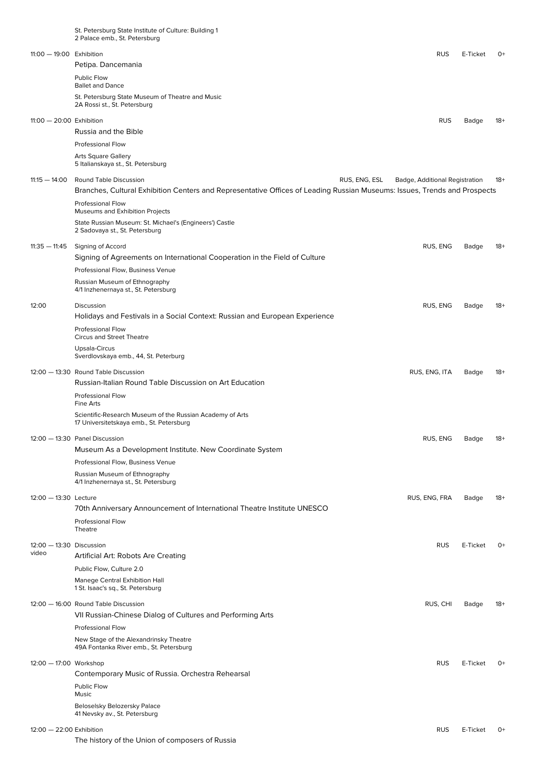|                            | St. Petersburg State Institute of Culture: Building 1<br>2 Palace emb., St. Petersburg                                    |                                |          |       |
|----------------------------|---------------------------------------------------------------------------------------------------------------------------|--------------------------------|----------|-------|
|                            |                                                                                                                           |                                |          |       |
| 11:00 - 19:00 Exhibition   | Petipa. Dancemania                                                                                                        | <b>RUS</b>                     | E-Ticket | 0+    |
|                            | Public Flow                                                                                                               |                                |          |       |
|                            | <b>Ballet and Dance</b>                                                                                                   |                                |          |       |
|                            | St. Petersburg State Museum of Theatre and Music<br>2A Rossi st., St. Petersburg                                          |                                |          |       |
| $11:00 - 20:00$ Exhibition |                                                                                                                           | <b>RUS</b>                     | Badge    | 18+   |
|                            | Russia and the Bible                                                                                                      |                                |          |       |
|                            | <b>Professional Flow</b>                                                                                                  |                                |          |       |
|                            | <b>Arts Square Gallery</b><br>5 Italianskaya st., St. Petersburg                                                          |                                |          |       |
| $11:15 - 14:00$            | Round Table Discussion<br>RUS, ENG, ESL                                                                                   | Badge, Additional Registration |          | $18+$ |
|                            | Branches, Cultural Exhibition Centers and Representative Offices of Leading Russian Museums: Issues, Trends and Prospects |                                |          |       |
|                            | <b>Professional Flow</b>                                                                                                  |                                |          |       |
|                            | Museums and Exhibition Projects                                                                                           |                                |          |       |
|                            | State Russian Museum: St. Michael's (Engineers') Castle<br>2 Sadovaya st., St. Petersburg                                 |                                |          |       |
| $11:35 - 11:45$            | Signing of Accord                                                                                                         | RUS, ENG                       | Badge    | 18+   |
|                            | Signing of Agreements on International Cooperation in the Field of Culture                                                |                                |          |       |
|                            | Professional Flow, Business Venue                                                                                         |                                |          |       |
|                            | Russian Museum of Ethnography<br>4/1 Inzhenernaya st., St. Petersburg                                                     |                                |          |       |
| 12:00                      | Discussion                                                                                                                | RUS, ENG                       | Badge    | $18+$ |
|                            | Holidays and Festivals in a Social Context: Russian and European Experience                                               |                                |          |       |
|                            | <b>Professional Flow</b><br><b>Circus and Street Theatre</b>                                                              |                                |          |       |
|                            | Upsala-Circus<br>Sverdlovskaya emb., 44, St. Peterburg                                                                    |                                |          |       |
|                            | 12:00 - 13:30 Round Table Discussion                                                                                      | RUS, ENG, ITA                  | Badge    | -18   |
|                            | Russian-Italian Round Table Discussion on Art Education                                                                   |                                |          |       |
|                            | <b>Professional Flow</b><br>Fine Arts                                                                                     |                                |          |       |
|                            | Scientific-Research Museum of the Russian Academy of Arts<br>17 Universitetskaya emb., St. Petersburg                     |                                |          |       |
|                            | 12:00 - 13:30 Panel Discussion                                                                                            | RUS, ENG                       | Badge    | 18+   |
|                            | Museum As a Development Institute. New Coordinate System                                                                  |                                |          |       |
|                            | Professional Flow, Business Venue                                                                                         |                                |          |       |
|                            | Russian Museum of Ethnography                                                                                             |                                |          |       |
|                            | 4/1 Inzhenernaya st., St. Petersburg                                                                                      |                                |          |       |
| 12:00 - 13:30 Lecture      |                                                                                                                           | RUS, ENG, FRA                  | Badge    | $18+$ |
|                            | 70th Anniversary Announcement of International Theatre Institute UNESCO                                                   |                                |          |       |
|                            | Professional Flow<br>Theatre                                                                                              |                                |          |       |
| 12:00 - 13:30 Discussion   |                                                                                                                           | <b>RUS</b>                     | E-Ticket | $O+$  |
| video                      | Artificial Art: Robots Are Creating                                                                                       |                                |          |       |
|                            | Public Flow, Culture 2.0                                                                                                  |                                |          |       |
|                            | Manege Central Exhibition Hall<br>1 St. Isaac's sq., St. Petersburg                                                       |                                |          |       |
|                            | 12:00 - 16:00 Round Table Discussion                                                                                      | RUS, CHI                       | Badge    | $18+$ |
|                            | VII Russian-Chinese Dialog of Cultures and Performing Arts                                                                |                                |          |       |
|                            | <b>Professional Flow</b>                                                                                                  |                                |          |       |
|                            | New Stage of the Alexandrinsky Theatre<br>49A Fontanka River emb., St. Petersburg                                         |                                |          |       |
| 12:00 - 17:00 Workshop     |                                                                                                                           | <b>RUS</b>                     | E-Ticket | $O+$  |
|                            | Contemporary Music of Russia. Orchestra Rehearsal                                                                         |                                |          |       |
|                            | Public Flow                                                                                                               |                                |          |       |
|                            | Music                                                                                                                     |                                |          |       |
|                            | Beloselsky Belozersky Palace<br>41 Nevsky av., St. Petersburg                                                             |                                |          |       |
| 12:00 - 22:00 Exhibition   |                                                                                                                           | <b>RUS</b>                     | E-Ticket | $O+$  |
|                            | The history of the Union of composers of Russia                                                                           |                                |          |       |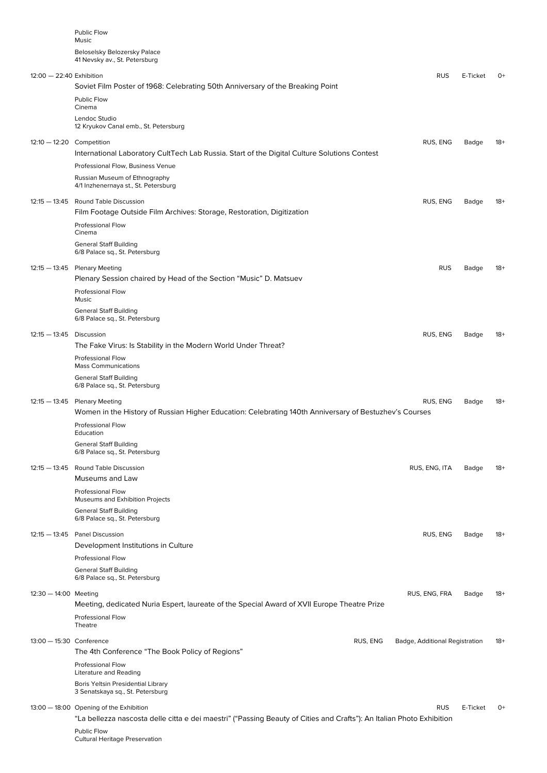|                           | <b>Public Flow</b><br>Music<br>Beloselsky Belozersky Palace<br>41 Nevsky av., St. Petersburg                                            |                                |          |       |
|---------------------------|-----------------------------------------------------------------------------------------------------------------------------------------|--------------------------------|----------|-------|
| 12:00 - 22:40 Exhibition  |                                                                                                                                         | <b>RUS</b>                     | E-Ticket | $O+$  |
|                           | Soviet Film Poster of 1968: Celebrating 50th Anniversary of the Breaking Point<br>Public Flow                                           |                                |          |       |
|                           | Cinema                                                                                                                                  |                                |          |       |
|                           | Lendoc Studio<br>12 Kryukov Canal emb., St. Petersburg                                                                                  |                                |          |       |
| 12:10 - 12:20 Competition |                                                                                                                                         | RUS, ENG                       | Badge    | $18+$ |
|                           | International Laboratory CultTech Lab Russia. Start of the Digital Culture Solutions Contest                                            |                                |          |       |
|                           | Professional Flow, Business Venue                                                                                                       |                                |          |       |
|                           | Russian Museum of Ethnography<br>4/1 Inzhenernaya st., St. Petersburg                                                                   |                                |          |       |
|                           | 12:15 - 13:45 Round Table Discussion                                                                                                    | RUS, ENG                       | Badge    | $18+$ |
|                           | Film Footage Outside Film Archives: Storage, Restoration, Digitization                                                                  |                                |          |       |
|                           | Professional Flow<br>Cinema                                                                                                             |                                |          |       |
|                           | <b>General Staff Building</b><br>6/8 Palace sq., St. Petersburg                                                                         |                                |          |       |
|                           | 12:15 - 13:45 Plenary Meeting                                                                                                           | <b>RUS</b>                     | Badge    | $18+$ |
|                           | Plenary Session chaired by Head of the Section "Music" D. Matsuev                                                                       |                                |          |       |
|                           | <b>Professional Flow</b><br>Music                                                                                                       |                                |          |       |
|                           | <b>General Staff Building</b><br>6/8 Palace sq., St. Petersburg                                                                         |                                |          |       |
| 12:15 - 13:45 Discussion  |                                                                                                                                         | RUS, ENG                       | Badge    | $18+$ |
|                           | The Fake Virus: Is Stability in the Modern World Under Threat?                                                                          |                                |          |       |
|                           | Professional Flow<br><b>Mass Communications</b>                                                                                         |                                |          |       |
|                           | <b>General Staff Building</b><br>6/8 Palace sq., St. Petersburg                                                                         |                                |          |       |
|                           | 12:15 - 13:45 Plenary Meeting<br>Women in the History of Russian Higher Education: Celebrating 140th Anniversary of Bestuzhev's Courses | RUS, ENG                       | Badge    | $18+$ |
|                           | Professional Flow<br>Education                                                                                                          |                                |          |       |
|                           | <b>General Staff Building</b><br>6/8 Palace sq., St. Petersburg                                                                         |                                |          |       |
|                           | 12:15 - 13:45 Round Table Discussion                                                                                                    | RUS, ENG, ITA                  | Badge    | $18+$ |
|                           | Museums and Law                                                                                                                         |                                |          |       |
|                           | <b>Professional Flow</b><br>Museums and Exhibition Projects                                                                             |                                |          |       |
|                           | <b>General Staff Building</b><br>6/8 Palace sq., St. Petersburg                                                                         |                                |          |       |
|                           | 12:15 - 13:45 Panel Discussion                                                                                                          | RUS, ENG                       | Badge    | $18+$ |
|                           | Development Institutions in Culture                                                                                                     |                                |          |       |
|                           | <b>Professional Flow</b>                                                                                                                |                                |          |       |
|                           | <b>General Staff Building</b><br>6/8 Palace sq., St. Petersburg                                                                         |                                |          |       |
| $12:30 - 14:00$ Meeting   |                                                                                                                                         | RUS, ENG, FRA                  | Badge    | $18+$ |
|                           | Meeting, dedicated Nuria Espert, laureate of the Special Award of XVII Europe Theatre Prize                                             |                                |          |       |
|                           | <b>Professional Flow</b>                                                                                                                |                                |          |       |
|                           | Theatre                                                                                                                                 |                                |          |       |
| 13:00 - 15:30 Conference  | RUS, ENG<br>The 4th Conference "The Book Policy of Regions"                                                                             | Badge, Additional Registration |          | $18+$ |
|                           | <b>Professional Flow</b><br>Literature and Reading                                                                                      |                                |          |       |
|                           | Boris Yeltsin Presidential Library<br>3 Senatskaya sq., St. Petersburg                                                                  |                                |          |       |
|                           | 13:00 - 18:00 Opening of the Exhibition                                                                                                 | <b>RUS</b>                     | E-Ticket | $O+$  |
|                           | "La bellezza nascosta delle citta e dei maestri" ("Passing Beauty of Cities and Crafts"): An Italian Photo Exhibition<br>Public Flow    |                                |          |       |
|                           | Cultural Heritage Preservation                                                                                                          |                                |          |       |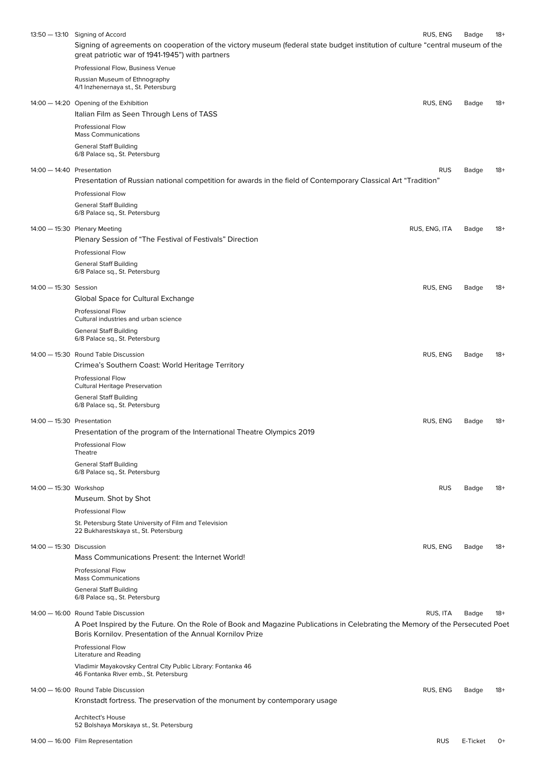|                            | 13:50 - 13:10 Signing of Accord                                                                                                                                                            | RUS, ENG      | Badge | 18+   |
|----------------------------|--------------------------------------------------------------------------------------------------------------------------------------------------------------------------------------------|---------------|-------|-------|
|                            | Signing of agreements on cooperation of the victory museum (federal state budget institution of culture "central museum of the<br>great patriotic war of 1941-1945") with partners         |               |       |       |
|                            | Professional Flow, Business Venue                                                                                                                                                          |               |       |       |
|                            | Russian Museum of Ethnography<br>4/1 Inzhenernaya st., St. Petersburg                                                                                                                      |               |       |       |
|                            | 14:00 - 14:20 Opening of the Exhibition                                                                                                                                                    | RUS, ENG      | Badge | 18+   |
|                            | Italian Film as Seen Through Lens of TASS                                                                                                                                                  |               |       |       |
|                            | <b>Professional Flow</b><br><b>Mass Communications</b>                                                                                                                                     |               |       |       |
|                            | <b>General Staff Building</b><br>6/8 Palace sq., St. Petersburg                                                                                                                            |               |       |       |
|                            |                                                                                                                                                                                            |               |       |       |
| 14:00 - 14:40 Presentation | Presentation of Russian national competition for awards in the field of Contemporary Classical Art "Tradition"                                                                             | <b>RUS</b>    | Badge | $18+$ |
|                            | <b>Professional Flow</b>                                                                                                                                                                   |               |       |       |
|                            | <b>General Staff Building</b>                                                                                                                                                              |               |       |       |
|                            | 6/8 Palace sq., St. Petersburg                                                                                                                                                             |               |       |       |
|                            | 14:00 - 15:30 Plenary Meeting                                                                                                                                                              | RUS, ENG, ITA | Badge | $18+$ |
|                            | Plenary Session of "The Festival of Festivals" Direction<br><b>Professional Flow</b>                                                                                                       |               |       |       |
|                            | <b>General Staff Building</b>                                                                                                                                                              |               |       |       |
|                            | 6/8 Palace sq., St. Petersburg                                                                                                                                                             |               |       |       |
| 14:00 - 15:30 Session      |                                                                                                                                                                                            | RUS, ENG      | Badge | 18+   |
|                            | Global Space for Cultural Exchange                                                                                                                                                         |               |       |       |
|                            | <b>Professional Flow</b><br>Cultural industries and urban science                                                                                                                          |               |       |       |
|                            | <b>General Staff Building</b><br>6/8 Palace sq., St. Petersburg                                                                                                                            |               |       |       |
|                            | 14:00 - 15:30 Round Table Discussion<br>Crimea's Southern Coast: World Heritage Territory                                                                                                  | RUS, ENG      | Badge | $18+$ |
|                            | Professional Flow                                                                                                                                                                          |               |       |       |
|                            | <b>Cultural Heritage Preservation</b><br><b>General Staff Building</b>                                                                                                                     |               |       |       |
|                            | 6/8 Palace sq., St. Petersburg                                                                                                                                                             |               |       |       |
| 14:00 - 15:30 Presentation |                                                                                                                                                                                            | RUS, ENG      | Badge | $18+$ |
|                            | Presentation of the program of the International Theatre Olympics 2019                                                                                                                     |               |       |       |
|                            | Professional Flow<br>Theatre                                                                                                                                                               |               |       |       |
|                            | <b>General Staff Building</b>                                                                                                                                                              |               |       |       |
|                            | 6/8 Palace sq., St. Petersburg                                                                                                                                                             |               |       |       |
| 14:00 - 15:30 Workshop     | Museum. Shot by Shot                                                                                                                                                                       | <b>RUS</b>    | Badge | $18+$ |
|                            | <b>Professional Flow</b>                                                                                                                                                                   |               |       |       |
|                            | St. Petersburg State University of Film and Television                                                                                                                                     |               |       |       |
|                            | 22 Bukharestskaya st., St. Petersburg                                                                                                                                                      |               |       |       |
| 14:00 - 15:30 Discussion   |                                                                                                                                                                                            | RUS, ENG      | Badge | 18+   |
|                            | Mass Communications Present: the Internet World!<br><b>Professional Flow</b>                                                                                                               |               |       |       |
|                            | <b>Mass Communications</b>                                                                                                                                                                 |               |       |       |
|                            | <b>General Staff Building</b><br>6/8 Palace sq., St. Petersburg                                                                                                                            |               |       |       |
|                            | 14:00 - 16:00 Round Table Discussion                                                                                                                                                       | RUS, ITA      | Badge | 18+   |
|                            | A Poet Inspired by the Future. On the Role of Book and Magazine Publications in Celebrating the Memory of the Persecuted Poet<br>Boris Kornilov, Presentation of the Annual Kornilov Prize |               |       |       |
|                            | <b>Professional Flow</b><br>Literature and Reading                                                                                                                                         |               |       |       |
|                            | Vladimir Mayakovsky Central City Public Library: Fontanka 46                                                                                                                               |               |       |       |
|                            | 46 Fontanka River emb., St. Petersburg                                                                                                                                                     |               |       |       |
|                            | 14:00 - 16:00 Round Table Discussion                                                                                                                                                       | RUS, ENG      | Badge | $18+$ |
|                            | Kronstadt fortress. The preservation of the monument by contemporary usage                                                                                                                 |               |       |       |
|                            | <b>Architect's House</b><br>52 Bolshaya Morskaya st., St. Petersburg                                                                                                                       |               |       |       |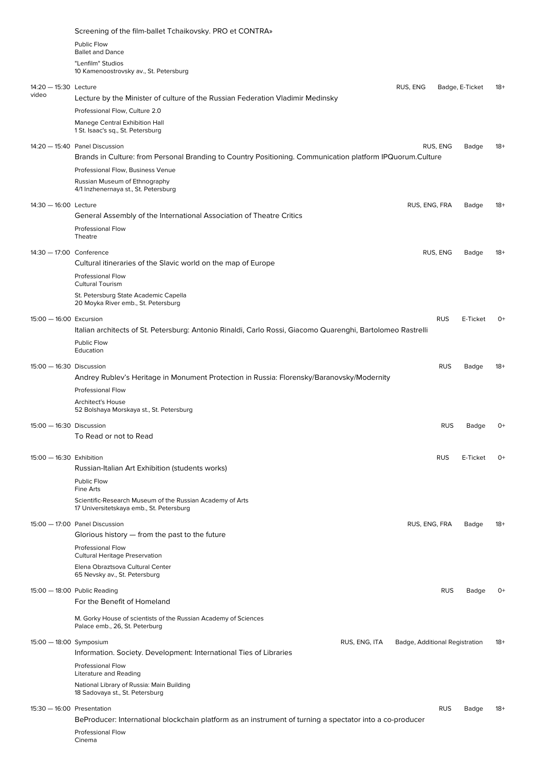|                                | Screening of the film-ballet Tchaikovsky. PRO et CONTRA»                                                                                    |                                |            |                 |       |
|--------------------------------|---------------------------------------------------------------------------------------------------------------------------------------------|--------------------------------|------------|-----------------|-------|
|                                | Public Flow<br><b>Ballet and Dance</b>                                                                                                      |                                |            |                 |       |
|                                | "Lenfilm" Studios                                                                                                                           |                                |            |                 |       |
|                                | 10 Kamenoostrovsky av., St. Petersburg                                                                                                      |                                |            |                 |       |
| 14:20 - 15:30 Lecture<br>video | Lecture by the Minister of culture of the Russian Federation Vladimir Medinsky                                                              | RUS, ENG                       |            | Badge, E-Ticket | 18+   |
|                                | Professional Flow, Culture 2.0                                                                                                              |                                |            |                 |       |
|                                | Manege Central Exhibition Hall<br>1 St. Isaac's sq., St. Petersburg                                                                         |                                |            |                 |       |
|                                | 14:20 - 15:40 Panel Discussion<br>Brands in Culture: from Personal Branding to Country Positioning. Communication platform IPQuorum.Culture |                                | RUS, ENG   | Badge           | $18+$ |
|                                | Professional Flow, Business Venue                                                                                                           |                                |            |                 |       |
|                                | Russian Museum of Ethnography<br>4/1 Inzhenernaya st., St. Petersburg                                                                       |                                |            |                 |       |
| 14:30 - 16:00 Lecture          |                                                                                                                                             | RUS, ENG, FRA                  |            | Badge           | $18+$ |
|                                | General Assembly of the International Association of Theatre Critics                                                                        |                                |            |                 |       |
|                                | Professional Flow                                                                                                                           |                                |            |                 |       |
|                                | Theatre                                                                                                                                     |                                |            |                 |       |
| 14:30 - 17:00 Conference       | Cultural itineraries of the Slavic world on the map of Europe                                                                               |                                | RUS, ENG   | Badge           | 18+   |
|                                | <b>Professional Flow</b>                                                                                                                    |                                |            |                 |       |
|                                | <b>Cultural Tourism</b><br>St. Petersburg State Academic Capella                                                                            |                                |            |                 |       |
|                                | 20 Moyka River emb., St. Petersburg                                                                                                         |                                |            |                 |       |
| 15:00 - 16:00 Excursion        | Italian architects of St. Petersburg: Antonio Rinaldi, Carlo Rossi, Giacomo Quarenghi, Bartolomeo Rastrelli                                 |                                | <b>RUS</b> | E-Ticket        | 0+    |
|                                | Public Flow                                                                                                                                 |                                |            |                 |       |
|                                | Education                                                                                                                                   |                                |            |                 |       |
| 15:00 - 16:30 Discussion       | Andrey Rublev's Heritage in Monument Protection in Russia: Florensky/Baranovsky/Modernity                                                   |                                | <b>RUS</b> | Badge           | $18+$ |
|                                | <b>Professional Flow</b>                                                                                                                    |                                |            |                 |       |
|                                | <b>Architect's House</b><br>52 Bolshaya Morskaya st., St. Petersburg                                                                        |                                |            |                 |       |
| 15:00 - 16:30 Discussion       |                                                                                                                                             |                                | <b>RUS</b> | Badge           | 0+    |
|                                | To Read or not to Read                                                                                                                      |                                |            |                 |       |
|                                |                                                                                                                                             |                                |            |                 | $0+$  |
| 15:00 - 16:30 Exhibition       | Russian-Italian Art Exhibition (students works)                                                                                             |                                | <b>RUS</b> | E-Ticket        |       |
|                                | <b>Public Flow</b><br>Fine Arts                                                                                                             |                                |            |                 |       |
|                                | Scientific-Research Museum of the Russian Academy of Arts<br>17 Universitetskaya emb., St. Petersburg                                       |                                |            |                 |       |
|                                | 15:00 - 17:00 Panel Discussion                                                                                                              | RUS, ENG, FRA                  |            | Badge           | -18   |
|                                | Glorious history - from the past to the future<br><b>Professional Flow</b>                                                                  |                                |            |                 |       |
|                                | <b>Cultural Heritage Preservation</b><br>Elena Obraztsova Cultural Center<br>65 Nevsky av., St. Petersburg                                  |                                |            |                 |       |
|                                |                                                                                                                                             |                                |            |                 |       |
|                                | 15:00 - 18:00 Public Reading<br>For the Benefit of Homeland                                                                                 |                                | <b>RUS</b> | Badge           | $O+$  |
|                                | M. Gorky House of scientists of the Russian Academy of Sciences<br>Palace emb., 26, St. Peterburg                                           |                                |            |                 |       |
| 15:00 - 18:00 Symposium        | RUS, ENG, ITA<br>Information. Society. Development: International Ties of Libraries                                                         | Badge, Additional Registration |            |                 | $18+$ |
|                                | <b>Professional Flow</b><br>Literature and Reading                                                                                          |                                |            |                 |       |
|                                | National Library of Russia: Main Building<br>18 Sadovaya st., St. Petersburg                                                                |                                |            |                 |       |
| $15:30 - 16:00$ Presentation   |                                                                                                                                             |                                | <b>RUS</b> | Badge           | -18   |
|                                | BeProducer: International blockchain platform as an instrument of turning a spectator into a co-producer                                    |                                |            |                 |       |
|                                | Professional Flow<br>Cinema                                                                                                                 |                                |            |                 |       |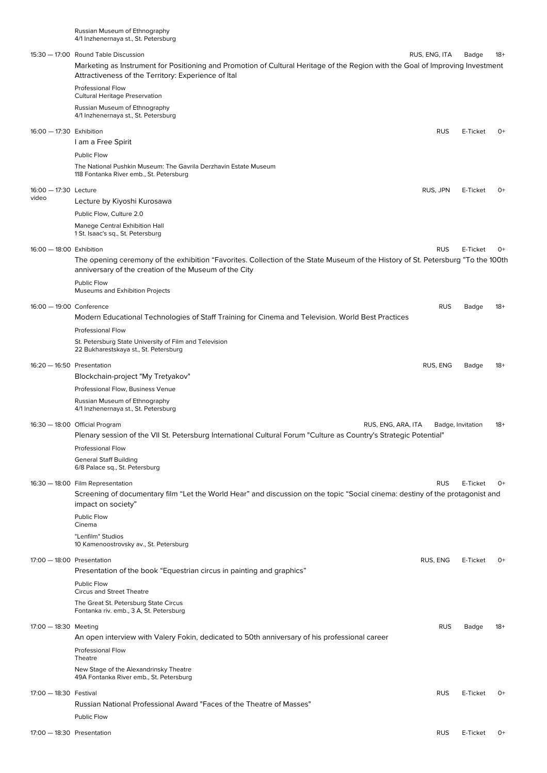|       | 4/1 Inzhenernaya st., St. Petersburg                                                                                                                                                      |                   |          |       |
|-------|-------------------------------------------------------------------------------------------------------------------------------------------------------------------------------------------|-------------------|----------|-------|
|       | 15:30 - 17:00 Round Table Discussion                                                                                                                                                      | RUS, ENG, ITA     | Badge    | $18+$ |
|       | Marketing as Instrument for Positioning and Promotion of Cultural Heritage of the Region with the Goal of Improving Investment<br>Attractiveness of the Territory: Experience of Ital     |                   |          |       |
|       | Professional Flow<br><b>Cultural Heritage Preservation</b>                                                                                                                                |                   |          |       |
|       | Russian Museum of Ethnography<br>4/1 Inzhenernaya st., St. Petersburg                                                                                                                     |                   |          |       |
|       | 16:00 - 17:30 Exhibition                                                                                                                                                                  | <b>RUS</b>        | E-Ticket | $O+$  |
|       | I am a Free Spirit                                                                                                                                                                        |                   |          |       |
|       | Public Flow                                                                                                                                                                               |                   |          |       |
|       | The National Pushkin Museum: The Gavrila Derzhavin Estate Museum<br>118 Fontanka River emb., St. Petersburg                                                                               |                   |          |       |
|       | 16:00 - 17:30 Lecture                                                                                                                                                                     | RUS, JPN          | E-Ticket | 0+    |
| video | Lecture by Kiyoshi Kurosawa                                                                                                                                                               |                   |          |       |
|       | Public Flow, Culture 2.0                                                                                                                                                                  |                   |          |       |
|       | Manege Central Exhibition Hall<br>1 St. Isaac's sq., St. Petersburg                                                                                                                       |                   |          |       |
|       | 16:00 - 18:00 Exhibition                                                                                                                                                                  | <b>RUS</b>        | E-Ticket | 0+    |
|       | The opening ceremony of the exhibition "Favorites. Collection of the State Museum of the History of St. Petersburg "To the 100th<br>anniversary of the creation of the Museum of the City |                   |          |       |
|       | <b>Public Flow</b><br>Museums and Exhibition Projects                                                                                                                                     |                   |          |       |
|       | 16:00 - 19:00 Conference                                                                                                                                                                  | <b>RUS</b>        | Badge    | 18+   |
|       | Modern Educational Technologies of Staff Training for Cinema and Television. World Best Practices                                                                                         |                   |          |       |
|       | Professional Flow                                                                                                                                                                         |                   |          |       |
|       | St. Petersburg State University of Film and Television<br>22 Bukharestskaya st., St. Petersburg                                                                                           |                   |          |       |
|       | $16:20 - 16:50$ Presentation                                                                                                                                                              | RUS, ENG          | Badge    | $18+$ |
|       | Blockchain-project "My Tretyakov"                                                                                                                                                         |                   |          |       |
|       | Professional Flow, Business Venue                                                                                                                                                         |                   |          |       |
|       | Russian Museum of Ethnography<br>4/1 Inzhenernaya st., St. Petersburg                                                                                                                     |                   |          |       |
|       | 16:30 - 18:00 Official Program<br>RUS, ENG, ARA, ITA                                                                                                                                      | Badge, Invitation |          | $18+$ |
|       | Plenary session of the VII St. Petersburg International Cultural Forum "Culture as Country's Strategic Potential"                                                                         |                   |          |       |
|       | Professional Flow                                                                                                                                                                         |                   |          |       |
|       | <b>General Staff Building</b><br>6/8 Palace sq., St. Petersburg                                                                                                                           |                   |          |       |
|       | 16:30 - 18:00 Film Representation                                                                                                                                                         | <b>RUS</b>        | E-Ticket | $O+$  |
|       | Screening of documentary film "Let the World Hear" and discussion on the topic "Social cinema: destiny of the protagonist and<br>impact on society"                                       |                   |          |       |
|       | Public Flow<br>Cinema                                                                                                                                                                     |                   |          |       |
|       | "Lenfilm" Studios<br>10 Kamenoostrovsky av., St. Petersburg                                                                                                                               |                   |          |       |
|       | $17:00 - 18:00$ Presentation                                                                                                                                                              | RUS, ENG          | E-Ticket | 0+    |
|       | Presentation of the book "Equestrian circus in painting and graphics"                                                                                                                     |                   |          |       |
|       | Public Flow                                                                                                                                                                               |                   |          |       |
|       | <b>Circus and Street Theatre</b>                                                                                                                                                          |                   |          |       |
|       | The Great St. Petersburg State Circus<br>Fontanka riv. emb., 3 A, St. Petersburg                                                                                                          |                   |          |       |
|       | 17:00 - 18:30 Meeting                                                                                                                                                                     | <b>RUS</b>        | Badge    | $18+$ |
|       | An open interview with Valery Fokin, dedicated to 50th anniversary of his professional career                                                                                             |                   |          |       |
|       | Professional Flow<br>Theatre                                                                                                                                                              |                   |          |       |
|       | New Stage of the Alexandrinsky Theatre<br>49A Fontanka River emb., St. Petersburg                                                                                                         |                   |          |       |
|       | 17:00 - 18:30 Festival                                                                                                                                                                    | <b>RUS</b>        | E-Ticket | 0+    |
|       | Russian National Professional Award "Faces of the Theatre of Masses"                                                                                                                      |                   |          |       |
|       | Public Flow                                                                                                                                                                               |                   |          |       |
|       | $17:00 - 18:30$ Presentation                                                                                                                                                              | <b>RUS</b>        | E-Ticket | 0+    |

Russian Museum of Ethnography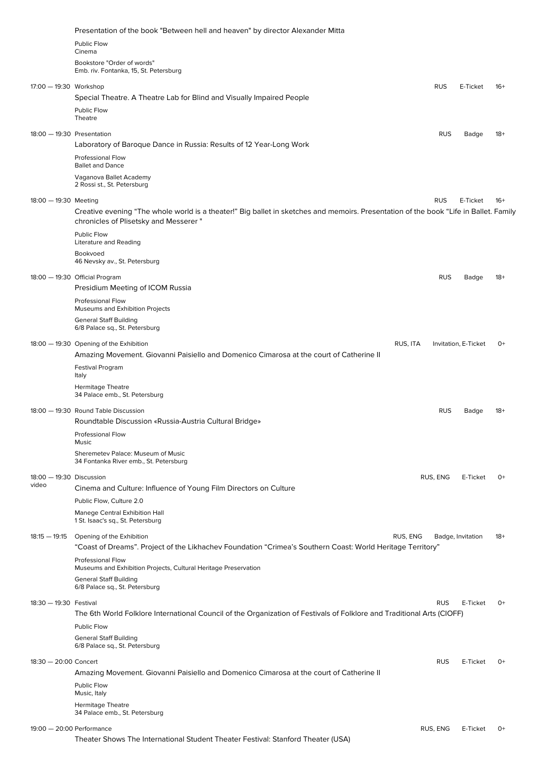|                                   | Presentation of the book "Between hell and heaven" by director Alexander Mitta                                                                                                  |            |                      |       |
|-----------------------------------|---------------------------------------------------------------------------------------------------------------------------------------------------------------------------------|------------|----------------------|-------|
|                                   | Public Flow                                                                                                                                                                     |            |                      |       |
|                                   | Cinema                                                                                                                                                                          |            |                      |       |
|                                   | Bookstore "Order of words"<br>Emb. riv. Fontanka, 15, St. Petersburg                                                                                                            |            |                      |       |
| 17:00 — 19:30 Workshop            |                                                                                                                                                                                 | <b>RUS</b> | E-Ticket             | $16+$ |
|                                   | Special Theatre. A Theatre Lab for Blind and Visually Impaired People                                                                                                           |            |                      |       |
|                                   | Public Flow<br>Theatre                                                                                                                                                          |            |                      |       |
| 18:00 - 19:30 Presentation        |                                                                                                                                                                                 | <b>RUS</b> | Badge                | $18+$ |
|                                   | Laboratory of Baroque Dance in Russia: Results of 12 Year-Long Work                                                                                                             |            |                      |       |
|                                   | <b>Professional Flow</b><br><b>Ballet and Dance</b>                                                                                                                             |            |                      |       |
|                                   | Vaganova Ballet Academy<br>2 Rossi st., St. Petersburg                                                                                                                          |            |                      |       |
| 18:00 - 19:30 Meeting             |                                                                                                                                                                                 | <b>RUS</b> | E-Ticket             | $16+$ |
|                                   | Creative evening "The whole world is a theater!" Big ballet in sketches and memoirs. Presentation of the book "Life in Ballet. Family<br>chronicles of Plisetsky and Messerer " |            |                      |       |
|                                   | Public Flow<br>Literature and Reading                                                                                                                                           |            |                      |       |
|                                   | Bookvoed<br>46 Nevsky av., St. Petersburg                                                                                                                                       |            |                      |       |
|                                   | 18:00 - 19:30 Official Program                                                                                                                                                  | <b>RUS</b> | Badge                | $18+$ |
|                                   | Presidium Meeting of ICOM Russia                                                                                                                                                |            |                      |       |
|                                   | Professional Flow<br>Museums and Exhibition Projects                                                                                                                            |            |                      |       |
|                                   | <b>General Staff Building</b><br>6/8 Palace sq., St. Petersburg                                                                                                                 |            |                      |       |
|                                   | 18:00 - 19:30 Opening of the Exhibition<br>Amazing Movement. Giovanni Paisiello and Domenico Cimarosa at the court of Catherine II                                              | RUS, ITA   | Invitation, E-Ticket | $O+$  |
|                                   | <b>Festival Program</b><br>Italy                                                                                                                                                |            |                      |       |
|                                   | <b>Hermitage Theatre</b><br>34 Palace emb., St. Petersburg                                                                                                                      |            |                      |       |
|                                   | 18:00 - 19:30 Round Table Discussion<br>Roundtable Discussion «Russia-Austria Cultural Bridge»                                                                                  | <b>RUS</b> | Badge                | $18+$ |
|                                   | <b>Professional Flow</b><br>Music                                                                                                                                               |            |                      |       |
|                                   | Sheremetev Palace: Museum of Music<br>34 Fontanka River emb., St. Petersburg                                                                                                    |            |                      |       |
| 18:00 - 19:30 Discussion<br>video | Cinema and Culture: Influence of Young Film Directors on Culture                                                                                                                | RUS, ENG   | E-Ticket             | $0+$  |
|                                   | Public Flow, Culture 2.0                                                                                                                                                        |            |                      |       |
|                                   | Manege Central Exhibition Hall<br>1 St. Isaac's sq., St. Petersburg                                                                                                             |            |                      |       |
| 18:15 — 19:15                     | Opening of the Exhibition<br>"Coast of Dreams". Project of the Likhachev Foundation "Crimea's Southern Coast: World Heritage Territory"                                         | RUS, ENG   | Badge, Invitation    | $18+$ |
|                                   | Professional Flow<br>Museums and Exhibition Projects, Cultural Heritage Preservation                                                                                            |            |                      |       |
|                                   | <b>General Staff Building</b><br>6/8 Palace sq., St. Petersburg                                                                                                                 |            |                      |       |
| 18:30 — 19:30 Festival            |                                                                                                                                                                                 | <b>RUS</b> | E-Ticket             | $0+$  |
|                                   | The 6th World Folklore International Council of the Organization of Festivals of Folklore and Traditional Arts (CIOFF)                                                          |            |                      |       |
|                                   | Public Flow                                                                                                                                                                     |            |                      |       |
|                                   | <b>General Staff Building</b><br>6/8 Palace sq., St. Petersburg                                                                                                                 |            |                      |       |
| 18:30 - 20:00 Concert             |                                                                                                                                                                                 | <b>RUS</b> | E-Ticket             | $O+$  |
|                                   | Amazing Movement. Giovanni Paisiello and Domenico Cimarosa at the court of Catherine II                                                                                         |            |                      |       |
|                                   | Public Flow<br>Music, Italy                                                                                                                                                     |            |                      |       |
|                                   | <b>Hermitage Theatre</b><br>34 Palace emb., St. Petersburg                                                                                                                      |            |                      |       |
| 19:00 - 20:00 Performance         |                                                                                                                                                                                 | RUS, ENG   | E-Ticket             | $O+$  |
|                                   | Theater Shows The International Student Theater Festival: Stanford Theater (USA)                                                                                                |            |                      |       |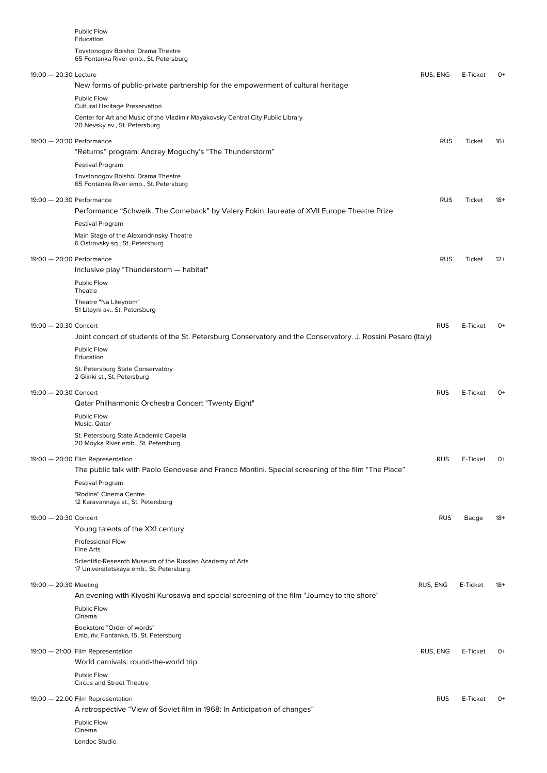| <b>Public Flow</b><br>Education<br>Tovstonogov Bolshoi Drama Theatre                                                                                                     |            |          |       |
|--------------------------------------------------------------------------------------------------------------------------------------------------------------------------|------------|----------|-------|
| 65 Fontanka River emb., St. Petersburg<br>19:00 - 20:30 Lecture<br>New forms of public-private partnership for the empowerment of cultural heritage                      | RUS, ENG   | E-Ticket | 0+    |
| Public Flow<br><b>Cultural Heritage Preservation</b><br>Center for Art and Music of the Vladimir Mayakovsky Central City Public Library<br>20 Nevsky av., St. Petersburg |            |          |       |
| 19:00 - 20:30 Performance                                                                                                                                                | <b>RUS</b> | Ticket   | $16+$ |
| "Returns" program: Andrey Moguchy's "The Thunderstorm"                                                                                                                   |            |          |       |
| <b>Festival Program</b><br>Tovstonogov Bolshoi Drama Theatre<br>65 Fontanka River emb., St. Petersburg                                                                   |            |          |       |
| 19:00 - 20:30 Performance                                                                                                                                                | <b>RUS</b> | Ticket   | $18+$ |
| Performance "Schweik. The Comeback" by Valery Fokin, laureate of XVII Europe Theatre Prize                                                                               |            |          |       |
| <b>Festival Program</b><br>Main Stage of the Alexandrinsky Theatre<br>6 Ostrovsky sq., St. Petersburg                                                                    |            |          |       |
| 19:00 - 20:30 Performance                                                                                                                                                | <b>RUS</b> | Ticket   | $12+$ |
| Inclusive play "Thunderstorm - habitat"                                                                                                                                  |            |          |       |
| Public Flow<br>Theatre                                                                                                                                                   |            |          |       |
| Theatre "Na Liteynom"<br>51 Liteyni av., St. Petersburg                                                                                                                  |            |          |       |
| 19:00 - 20:30 Concert<br>Joint concert of students of the St. Petersburg Conservatory and the Conservatory. J. Rossini Pesaro (Italy)                                    | <b>RUS</b> | E-Ticket | $O+$  |
| Public Flow<br>Education                                                                                                                                                 |            |          |       |
| St. Petersburg State Conservatory<br>2 Glinki st., St. Petersburg                                                                                                        |            |          |       |
| 19:00 - 20:30 Concert                                                                                                                                                    | <b>RUS</b> | E-Ticket | 0+    |
| Qatar Philharmonic Orchestra Concert "Twenty Eight"                                                                                                                      |            |          |       |
| Public Flow<br>Music, Qatar<br>St. Petersburg State Academic Capella                                                                                                     |            |          |       |
| 20 Moyka River emb., St. Petersburg                                                                                                                                      |            |          |       |
| 19:00 - 20:30 Film Representation<br>The public talk with Paolo Genovese and Franco Montini. Special screening of the film "The Place"                                   | <b>RUS</b> | E-Ticket | 0+    |
| <b>Festival Program</b><br>"Rodina" Cinema Centre<br>12 Karavannaya st., St. Petersburg                                                                                  |            |          |       |
| 19:00 - 20:30 Concert                                                                                                                                                    | <b>RUS</b> | Badge    | $18+$ |
| Young talents of the XXI century                                                                                                                                         |            |          |       |
| <b>Professional Flow</b><br>Fine Arts                                                                                                                                    |            |          |       |
| Scientific-Research Museum of the Russian Academy of Arts<br>17 Universitetskaya emb., St. Petersburg                                                                    |            |          |       |
| 19:00 - 20:30 Meeting<br>An evening with Kiyoshi Kurosawa and special screening of the film "Journey to the shore"<br>Public Flow                                        | RUS, ENG   | E-Ticket | -18   |
| Cinema                                                                                                                                                                   |            |          |       |
| Bookstore "Order of words"<br>Emb. riv. Fontanka, 15, St. Petersburg                                                                                                     |            |          |       |
| 19:00 - 21:00 Film Representation<br>World carnivals: round-the-world trip                                                                                               | RUS, ENG   | E-Ticket | 0+    |
| Public Flow<br><b>Circus and Street Theatre</b>                                                                                                                          |            |          |       |
| 19:00 - 22:00 Film Representation                                                                                                                                        | <b>RUS</b> | E-Ticket | $O+$  |
| A retrospective "View of Soviet film in 1968: In Anticipation of changes"                                                                                                |            |          |       |
| Public Flow<br>Cinema<br>Lendoc Studio                                                                                                                                   |            |          |       |
|                                                                                                                                                                          |            |          |       |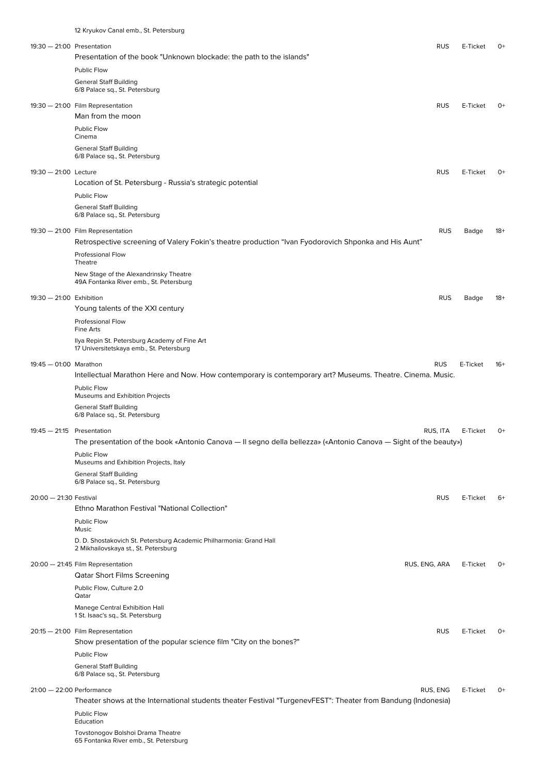|                              | 12 Kryukov Canal emb., St. Petersburg                                                                            |               |          |       |
|------------------------------|------------------------------------------------------------------------------------------------------------------|---------------|----------|-------|
| $19:30 - 21:00$ Presentation |                                                                                                                  | <b>RUS</b>    | E-Ticket | 0+    |
|                              | Presentation of the book "Unknown blockade: the path to the islands"                                             |               |          |       |
|                              | Public Flow                                                                                                      |               |          |       |
|                              | <b>General Staff Building</b><br>6/8 Palace sq., St. Petersburg                                                  |               |          |       |
|                              | 19:30 - 21:00 Film Representation                                                                                | <b>RUS</b>    | E-Ticket | 0+    |
|                              | Man from the moon                                                                                                |               |          |       |
|                              | <b>Public Flow</b><br>Cinema                                                                                     |               |          |       |
|                              | <b>General Staff Building</b>                                                                                    |               |          |       |
|                              | 6/8 Palace sq., St. Petersburg                                                                                   |               |          |       |
| 19:30 - 21:00 Lecture        |                                                                                                                  | <b>RUS</b>    | E-Ticket | $0+$  |
|                              | Location of St. Petersburg - Russia's strategic potential                                                        |               |          |       |
|                              | Public Flow                                                                                                      |               |          |       |
|                              | <b>General Staff Building</b><br>6/8 Palace sq., St. Petersburg                                                  |               |          |       |
|                              | 19:30 - 21:00 Film Representation                                                                                | <b>RUS</b>    | Badge    | $18+$ |
|                              | Retrospective screening of Valery Fokin's theatre production "Ivan Fyodorovich Shponka and His Aunt"             |               |          |       |
|                              | <b>Professional Flow</b>                                                                                         |               |          |       |
|                              | Theatre                                                                                                          |               |          |       |
|                              | New Stage of the Alexandrinsky Theatre<br>49A Fontanka River emb., St. Petersburg                                |               |          |       |
| 19:30 - 21:00 Exhibition     |                                                                                                                  | <b>RUS</b>    | Badge    | $18+$ |
|                              | Young talents of the XXI century                                                                                 |               |          |       |
|                              | <b>Professional Flow</b><br>Fine Arts                                                                            |               |          |       |
|                              | Ilya Repin St. Petersburg Academy of Fine Art                                                                    |               |          |       |
|                              | 17 Universitetskaya emb., St. Petersburg                                                                         |               |          |       |
| 19:45 - 01:00 Marathon       |                                                                                                                  | <b>RUS</b>    | E-Ticket | -16+  |
|                              | Intellectual Marathon Here and Now. How contemporary is contemporary art? Museums. Theatre. Cinema. Music.       |               |          |       |
|                              | Public Flow<br>Museums and Exhibition Projects                                                                   |               |          |       |
|                              | <b>General Staff Building</b>                                                                                    |               |          |       |
|                              | 6/8 Palace sq., St. Petersburg                                                                                   |               |          |       |
| $19:45 - 21:15$ Presentation | The presentation of the book «Antonio Canova — Il segno della bellezza» («Antonio Canova — Sight of the beauty») | RUS, ITA      | E-Ticket | $O+$  |
|                              | Public Flow                                                                                                      |               |          |       |
|                              | Museums and Exhibition Projects, Italy                                                                           |               |          |       |
|                              | <b>General Staff Building</b><br>6/8 Palace sq., St. Petersburg                                                  |               |          |       |
| 20:00 - 21:30 Festival       |                                                                                                                  | <b>RUS</b>    | E-Ticket | 6+    |
|                              | Ethno Marathon Festival "National Collection"                                                                    |               |          |       |
|                              | Public Flow                                                                                                      |               |          |       |
|                              | Music                                                                                                            |               |          |       |
|                              | D. D. Shostakovich St. Petersburg Academic Philharmonia: Grand Hall<br>2 Mikhailovskaya st., St. Petersburg      |               |          |       |
|                              | 20:00 - 21:45 Film Representation                                                                                | RUS, ENG, ARA | E-Ticket | $O+$  |
|                              | <b>Qatar Short Films Screening</b>                                                                               |               |          |       |
|                              | Public Flow, Culture 2.0<br>Qatar                                                                                |               |          |       |
|                              | Manege Central Exhibition Hall                                                                                   |               |          |       |
|                              | 1 St. Isaac's sq., St. Petersburg                                                                                |               |          |       |
|                              | 20:15 - 21:00 Film Representation                                                                                | <b>RUS</b>    | E-Ticket | $O+$  |
|                              | Show presentation of the popular science film "City on the bones?"                                               |               |          |       |
|                              | Public Flow<br><b>General Staff Building</b>                                                                     |               |          |       |
|                              | 6/8 Palace sq., St. Petersburg                                                                                   |               |          |       |
| $21:00 - 22:00$ Performance  |                                                                                                                  | RUS, ENG      | E-Ticket | $O+$  |
|                              | Theater shows at the International students theater Festival "TurgenevFEST": Theater from Bandung (Indonesia)    |               |          |       |
|                              | Public Flow<br>Education                                                                                         |               |          |       |
|                              | Tovstonogov Bolshoi Drama Theatre                                                                                |               |          |       |
|                              | 65 Fontanka River emb., St. Petersburg                                                                           |               |          |       |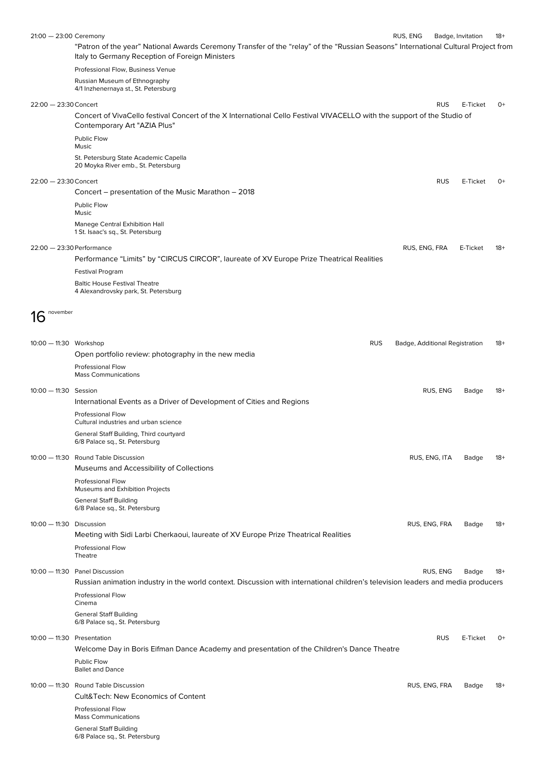| $21:00 - 23:00$ Ceremony     |                                                                                                                                                                                       | RUS, ENG                       |               | Badge, Invitation | $18+$ |
|------------------------------|---------------------------------------------------------------------------------------------------------------------------------------------------------------------------------------|--------------------------------|---------------|-------------------|-------|
|                              | "Patron of the year" National Awards Ceremony Transfer of the "relay" of the "Russian Seasons" International Cultural Project from<br>Italy to Germany Reception of Foreign Ministers |                                |               |                   |       |
|                              | Professional Flow, Business Venue                                                                                                                                                     |                                |               |                   |       |
|                              | Russian Museum of Ethnography<br>4/1 Inzhenernaya st., St. Petersburg                                                                                                                 |                                |               |                   |       |
| 22:00 - 23:30 Concert        |                                                                                                                                                                                       |                                | <b>RUS</b>    | E-Ticket          | 0+    |
|                              | Concert of VivaCello festival Concert of the X International Cello Festival VIVACELLO with the support of the Studio of<br>Contemporary Art "AZIA Plus"                               |                                |               |                   |       |
|                              | Public Flow<br>Music                                                                                                                                                                  |                                |               |                   |       |
|                              | St. Petersburg State Academic Capella<br>20 Moyka River emb., St. Petersburg                                                                                                          |                                |               |                   |       |
| 22:00 - 23:30 Concert        |                                                                                                                                                                                       |                                | <b>RUS</b>    | E-Ticket          | 0+    |
|                              | Concert – presentation of the Music Marathon – 2018                                                                                                                                   |                                |               |                   |       |
|                              | Public Flow<br>Music                                                                                                                                                                  |                                |               |                   |       |
|                              | Manege Central Exhibition Hall<br>1 St. Isaac's sq., St. Petersburg                                                                                                                   |                                |               |                   |       |
| 22:00 - 23:30 Performance    |                                                                                                                                                                                       | RUS, ENG, FRA                  |               | E-Ticket          | $18+$ |
|                              | Performance "Limits" by "CIRCUS CIRCOR", laureate of XV Europe Prize Theatrical Realities                                                                                             |                                |               |                   |       |
|                              | <b>Festival Program</b>                                                                                                                                                               |                                |               |                   |       |
|                              | <b>Baltic House Festival Theatre</b><br>4 Alexandrovsky park, St. Petersburg                                                                                                          |                                |               |                   |       |
| november<br>16               |                                                                                                                                                                                       |                                |               |                   |       |
|                              |                                                                                                                                                                                       |                                |               |                   |       |
| 10:00 - 11:30 Workshop       | <b>RUS</b>                                                                                                                                                                            | Badge, Additional Registration |               |                   | $18+$ |
|                              | Open portfolio review: photography in the new media<br><b>Professional Flow</b>                                                                                                       |                                |               |                   |       |
|                              | <b>Mass Communications</b>                                                                                                                                                            |                                |               |                   |       |
| 10:00 - 11:30 Session        | International Events as a Driver of Development of Cities and Regions                                                                                                                 |                                | RUS, ENG      | Badge             | $18+$ |
|                              | Professional Flow                                                                                                                                                                     |                                |               |                   |       |
|                              | Cultural industries and urban science<br>General Staff Building, Third courtyard<br>6/8 Palace sq., St. Petersburg                                                                    |                                |               |                   |       |
|                              | 10:00 - 11:30 Round Table Discussion                                                                                                                                                  |                                | RUS, ENG, ITA | Badge             | $18+$ |
|                              | Museums and Accessibility of Collections                                                                                                                                              |                                |               |                   |       |
|                              | Professional Flow<br>Museums and Exhibition Projects                                                                                                                                  |                                |               |                   |       |
|                              | <b>General Staff Building</b><br>6/8 Palace sq., St. Petersburg                                                                                                                       |                                |               |                   |       |
| 10:00 - 11:30 Discussion     |                                                                                                                                                                                       |                                | RUS, ENG, FRA | Badge             | $18+$ |
|                              | Meeting with Sidi Larbi Cherkaoui, laureate of XV Europe Prize Theatrical Realities<br><b>Professional Flow</b>                                                                       |                                |               |                   |       |
|                              | Theatre                                                                                                                                                                               |                                |               |                   |       |
|                              | 10:00 - 11:30 Panel Discussion<br>Russian animation industry in the world context. Discussion with international children's television leaders and media producers                    |                                | RUS, ENG      | Badge             | $18+$ |
|                              | <b>Professional Flow</b><br>Cinema                                                                                                                                                    |                                |               |                   |       |
|                              | <b>General Staff Building</b><br>6/8 Palace sq., St. Petersburg                                                                                                                       |                                |               |                   |       |
| $10:00 - 11:30$ Presentation | Welcome Day in Boris Eifman Dance Academy and presentation of the Children's Dance Theatre                                                                                            |                                | <b>RUS</b>    | E-Ticket          | $0+$  |
|                              | Public Flow<br><b>Ballet and Dance</b>                                                                                                                                                |                                |               |                   |       |
|                              | 10:00 - 11:30 Round Table Discussion                                                                                                                                                  |                                | RUS, ENG, FRA | Badge             | $18+$ |
|                              | Cult&Tech: New Economics of Content                                                                                                                                                   |                                |               |                   |       |
|                              | Professional Flow                                                                                                                                                                     |                                |               |                   |       |
|                              | <b>Mass Communications</b><br><b>General Staff Building</b>                                                                                                                           |                                |               |                   |       |
|                              | 6/8 Palace sq., St. Petersburg                                                                                                                                                        |                                |               |                   |       |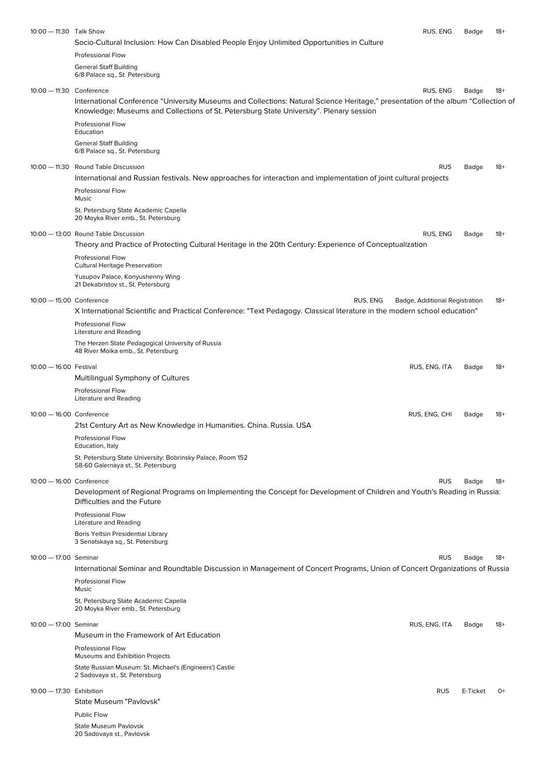| 10:00 - 11:30 Talk Show    | Socio-Cultural Inclusion: How Can Disabled People Enjoy Unlimited Opportunities in Culture                                                                                                                                   | RUS, ENG                       | Badge    | $18+$ |
|----------------------------|------------------------------------------------------------------------------------------------------------------------------------------------------------------------------------------------------------------------------|--------------------------------|----------|-------|
|                            | Professional Flow<br><b>General Staff Building</b>                                                                                                                                                                           |                                |          |       |
|                            | 6/8 Palace sq., St. Petersburg                                                                                                                                                                                               |                                |          |       |
| 10:00 - 11:30 Conference   | International Conference "University Museums and Collections: Natural Science Heritage," presentation of the album "Collection of<br>Knowledge: Museums and Collections of St. Petersburg State University". Plenary session | RUS, ENG                       | Badge    | $18+$ |
|                            | <b>Professional Flow</b><br>Education                                                                                                                                                                                        |                                |          |       |
|                            | <b>General Staff Building</b><br>6/8 Palace sq., St. Petersburg                                                                                                                                                              |                                |          |       |
|                            | 10:00 - 11:30 Round Table Discussion<br>International and Russian festivals. New approaches for interaction and implementation of joint cultural projects                                                                    | <b>RUS</b>                     | Badge    | $18+$ |
|                            | <b>Professional Flow</b><br>Music                                                                                                                                                                                            |                                |          |       |
|                            | St. Petersburg State Academic Capella<br>20 Moyka River emb., St. Petersburg                                                                                                                                                 |                                |          |       |
|                            | 10:00 - 13:00 Round Table Discussion<br>Theory and Practice of Protecting Cultural Heritage in the 20th Century: Experience of Conceptualization                                                                             | RUS, ENG                       | Badge    | $18+$ |
|                            | <b>Professional Flow</b><br><b>Cultural Heritage Preservation</b>                                                                                                                                                            |                                |          |       |
|                            | Yusupov Palace, Konyushenny Wing<br>21 Dekabristov st., St. Petersburg                                                                                                                                                       |                                |          |       |
| 10:00 - 15:00 Conference   | RUS, ENG<br>X International Scientific and Practical Conference: "Text Pedagogy. Classical literature in the modern school education"                                                                                        | Badge, Additional Registration |          | $18+$ |
|                            | <b>Professional Flow</b><br>Literature and Reading                                                                                                                                                                           |                                |          |       |
|                            | The Herzen State Pedagogical University of Russia<br>48 River Moika emb., St. Petersburg                                                                                                                                     |                                |          |       |
| 10:00 - 16:00 Festival     | Multilingual Symphony of Cultures                                                                                                                                                                                            | RUS, ENG, ITA                  | Badge    | $18+$ |
|                            | Professional Flow<br>Literature and Reading                                                                                                                                                                                  |                                |          |       |
| 10:00 - 16:00 Conference   | 21st Century Art as New Knowledge in Humanities. China. Russia. USA                                                                                                                                                          | RUS, ENG, CHI                  | Badge    | $18+$ |
|                            | Professional Flow<br>Education, Italy                                                                                                                                                                                        |                                |          |       |
|                            | St. Petersburg State University: Bobrinsky Palace, Room 152<br>58-60 Galernaya st., St. Petersburg                                                                                                                           |                                |          |       |
| $10:00 - 16:00$ Conference | Development of Regional Programs on Implementing the Concept for Development of Children and Youth's Reading in Russia:                                                                                                      | <b>RUS</b>                     | Badge    | $18+$ |
|                            | Difficulties and the Future<br><b>Professional Flow</b>                                                                                                                                                                      |                                |          |       |
|                            | Literature and Reading<br>Boris Yeltsin Presidential Library<br>3 Senatskaya sq., St. Petersburg                                                                                                                             |                                |          |       |
| 10:00 - 17:00 Seminar      |                                                                                                                                                                                                                              | <b>RUS</b>                     | Badge    | $18+$ |
|                            | International Seminar and Roundtable Discussion in Management of Concert Programs, Union of Concert Organizations of Russia                                                                                                  |                                |          |       |
|                            | <b>Professional Flow</b><br>Music                                                                                                                                                                                            |                                |          |       |
|                            | St. Petersburg State Academic Capella<br>20 Moyka River emb., St. Petersburg                                                                                                                                                 |                                |          |       |
| 10:00 - 17:00 Seminar      | Museum in the Framework of Art Education                                                                                                                                                                                     | RUS, ENG, ITA                  | Badge    | $18+$ |
|                            | <b>Professional Flow</b><br>Museums and Exhibition Projects                                                                                                                                                                  |                                |          |       |
|                            | State Russian Museum: St. Michael's (Engineers') Castle<br>2 Sadovaya st., St. Petersburg                                                                                                                                    |                                |          |       |
| 10:00 - 17:30 Exhibition   |                                                                                                                                                                                                                              | <b>RUS</b>                     | E-Ticket | 0+    |
|                            | State Museum "Pavlovsk"<br>Public Flow                                                                                                                                                                                       |                                |          |       |
|                            | <b>State Museum Pavlovsk</b><br>20 Sadovaya st., Pavlovsk                                                                                                                                                                    |                                |          |       |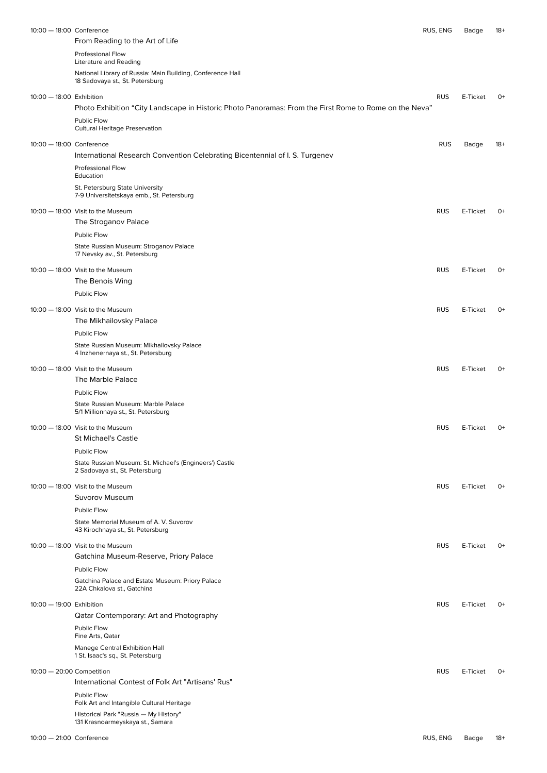| 10:00 - 18:00 Conference  | From Reading to the Art of Life                                                                                         | RUS, ENG   | Badge    | 18+  |
|---------------------------|-------------------------------------------------------------------------------------------------------------------------|------------|----------|------|
|                           | <b>Professional Flow</b>                                                                                                |            |          |      |
|                           | Literature and Reading<br>National Library of Russia: Main Building, Conference Hall<br>18 Sadovaya st., St. Petersburg |            |          |      |
| 10:00 - 18:00 Exhibition  |                                                                                                                         | <b>RUS</b> | E-Ticket | $O+$ |
|                           | Photo Exhibition "City Landscape in Historic Photo Panoramas: From the First Rome to Rome on the Neva"                  |            |          |      |
|                           | Public Flow<br><b>Cultural Heritage Preservation</b>                                                                    |            |          |      |
| 10:00 - 18:00 Conference  |                                                                                                                         | <b>RUS</b> | Badge    | 18+  |
|                           | International Research Convention Celebrating Bicentennial of I. S. Turgenev                                            |            |          |      |
|                           | Professional Flow<br>Education                                                                                          |            |          |      |
|                           | St. Petersburg State University<br>7-9 Universitetskaya emb., St. Petersburg                                            |            |          |      |
|                           | 10:00 - 18:00 Visit to the Museum                                                                                       | <b>RUS</b> | E-Ticket | 0+   |
|                           | The Stroganov Palace                                                                                                    |            |          |      |
|                           | Public Flow                                                                                                             |            |          |      |
|                           | State Russian Museum: Stroganov Palace<br>17 Nevsky av., St. Petersburg                                                 |            |          |      |
|                           | 10:00 - 18:00 Visit to the Museum                                                                                       | <b>RUS</b> | E-Ticket | $O+$ |
|                           | The Benois Wing<br><b>Public Flow</b>                                                                                   |            |          |      |
|                           |                                                                                                                         |            |          |      |
|                           | 10:00 - 18:00 Visit to the Museum<br>The Mikhailovsky Palace                                                            | <b>RUS</b> | E-Ticket | $O+$ |
|                           | Public Flow                                                                                                             |            |          |      |
|                           | State Russian Museum: Mikhailovsky Palace<br>4 Inzhenernaya st., St. Petersburg                                         |            |          |      |
|                           | 10:00 - 18:00 Visit to the Museum<br>The Marble Palace                                                                  | <b>RUS</b> | E-Ticket | $O+$ |
|                           | Public Flow                                                                                                             |            |          |      |
|                           | State Russian Museum: Marble Palace<br>5/1 Millionnaya st., St. Petersburg                                              |            |          |      |
|                           | 10:00 - 18:00 Visit to the Museum                                                                                       | <b>RUS</b> | E-Ticket | 0+   |
|                           | St Michael's Castle                                                                                                     |            |          |      |
|                           | Public Flow                                                                                                             |            |          |      |
|                           | State Russian Museum: St. Michael's (Engineers') Castle<br>2 Sadovaya st., St. Petersburg                               |            |          |      |
|                           | 10:00 - 18:00 Visit to the Museum                                                                                       | <b>RUS</b> | E-Ticket | $O+$ |
|                           | Suvorov Museum                                                                                                          |            |          |      |
|                           | Public Flow<br>State Memorial Museum of A. V. Suvorov                                                                   |            |          |      |
|                           | 43 Kirochnaya st., St. Petersburg                                                                                       |            |          |      |
|                           | 10:00 - 18:00 Visit to the Museum                                                                                       | <b>RUS</b> | E-Ticket | $O+$ |
|                           | Gatchina Museum-Reserve, Priory Palace<br>Public Flow                                                                   |            |          |      |
|                           | Gatchina Palace and Estate Museum: Priory Palace<br>22A Chkalova st., Gatchina                                          |            |          |      |
| 10:00 - 19:00 Exhibition  |                                                                                                                         | <b>RUS</b> | E-Ticket | $O+$ |
|                           | Qatar Contemporary: Art and Photography<br>Public Flow                                                                  |            |          |      |
|                           | Fine Arts, Qatar<br>Manege Central Exhibition Hall<br>1 St. Isaac's sq., St. Petersburg                                 |            |          |      |
| 10:00 - 20:00 Competition |                                                                                                                         | <b>RUS</b> | E-Ticket | $O+$ |
|                           | International Contest of Folk Art "Artisans' Rus"                                                                       |            |          |      |
|                           | Public Flow<br>Folk Art and Intangible Cultural Heritage                                                                |            |          |      |
|                           | Historical Park "Russia - My History"<br>131 Krasnoarmeyskaya st., Samara                                               |            |          |      |
| 10:00 - 21:00 Conference  |                                                                                                                         | RUS, ENG   | Badge    | 18+  |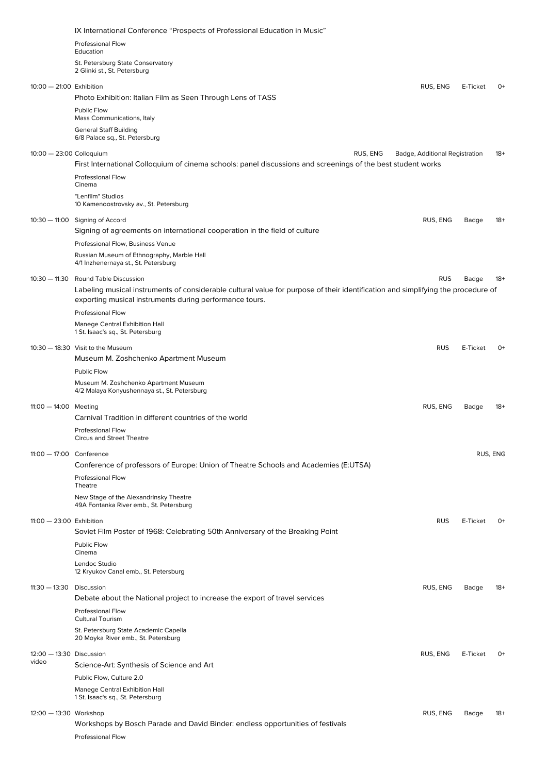|                                     | IX International Conference "Prospects of Professional Education in Music"                                                                                                                  |                                |          |          |
|-------------------------------------|---------------------------------------------------------------------------------------------------------------------------------------------------------------------------------------------|--------------------------------|----------|----------|
|                                     | <b>Professional Flow</b><br>Education                                                                                                                                                       |                                |          |          |
|                                     | St. Petersburg State Conservatory<br>2 Glinki st., St. Petersburg                                                                                                                           |                                |          |          |
| 10:00 - 21:00 Exhibition            | Photo Exhibition: Italian Film as Seen Through Lens of TASS                                                                                                                                 | RUS, ENG                       | E-Ticket | $O+$     |
|                                     | <b>Public Flow</b><br>Mass Communications, Italy                                                                                                                                            |                                |          |          |
|                                     | <b>General Staff Building</b><br>6/8 Palace sq., St. Petersburg                                                                                                                             |                                |          |          |
| 10:00 - 23:00 Colloquium            | RUS, ENG                                                                                                                                                                                    | Badge, Additional Registration |          | $18+$    |
|                                     | First International Colloquium of cinema schools: panel discussions and screenings of the best student works<br><b>Professional Flow</b>                                                    |                                |          |          |
|                                     | Cinema                                                                                                                                                                                      |                                |          |          |
|                                     | "Lenfilm" Studios<br>10 Kamenoostrovsky av., St. Petersburg                                                                                                                                 |                                |          |          |
|                                     | 10:30 - 11:00 Signing of Accord<br>Signing of agreements on international cooperation in the field of culture                                                                               | RUS, ENG                       | Badge    | $18+$    |
|                                     | Professional Flow, Business Venue<br>Russian Museum of Ethnography, Marble Hall<br>4/1 Inzhenernaya st., St. Petersburg                                                                     |                                |          |          |
|                                     | 10:30 - 11:30 Round Table Discussion                                                                                                                                                        | <b>RUS</b>                     | Badge    | $18+$    |
|                                     | Labeling musical instruments of considerable cultural value for purpose of their identification and simplifying the procedure of<br>exporting musical instruments during performance tours. |                                |          |          |
|                                     | <b>Professional Flow</b>                                                                                                                                                                    |                                |          |          |
|                                     | Manege Central Exhibition Hall<br>1 St. Isaac's sq., St. Petersburg                                                                                                                         |                                |          |          |
|                                     | 10:30 - 18:30 Visit to the Museum                                                                                                                                                           | <b>RUS</b>                     | E-Ticket | 0+       |
|                                     | Museum M. Zoshchenko Apartment Museum<br><b>Public Flow</b>                                                                                                                                 |                                |          |          |
|                                     | Museum M. Zoshchenko Apartment Museum<br>4/2 Malaya Konyushennaya st., St. Petersburg                                                                                                       |                                |          |          |
| 11:00 $-$ 14:00 Meeting             |                                                                                                                                                                                             | RUS, ENG                       | Badge    | $18+$    |
|                                     | Carnival Tradition in different countries of the world<br><b>Professional Flow</b>                                                                                                          |                                |          |          |
|                                     | Circus and Street Theatre                                                                                                                                                                   |                                |          |          |
| 11:00 - 17:00 Conference            | Conference of professors of Europe: Union of Theatre Schools and Academies (E:UTSA)                                                                                                         |                                |          | RUS, ENG |
|                                     | <b>Professional Flow</b><br>Theatre                                                                                                                                                         |                                |          |          |
|                                     | New Stage of the Alexandrinsky Theatre<br>49A Fontanka River emb., St. Petersburg                                                                                                           |                                |          |          |
| $11:00 - 23:00$ Exhibition          |                                                                                                                                                                                             | <b>RUS</b>                     | E-Ticket | $O+$     |
|                                     | Soviet Film Poster of 1968: Celebrating 50th Anniversary of the Breaking Point                                                                                                              |                                |          |          |
|                                     | Public Flow<br>Cinema                                                                                                                                                                       |                                |          |          |
|                                     | Lendoc Studio<br>12 Kryukov Canal emb., St. Petersburg                                                                                                                                      |                                |          |          |
| $11:30 - 13:30$ Discussion          | Debate about the National project to increase the export of travel services                                                                                                                 | RUS, ENG                       | Badge    | $18+$    |
|                                     | <b>Professional Flow</b><br><b>Cultural Tourism</b>                                                                                                                                         |                                |          |          |
|                                     | St. Petersburg State Academic Capella<br>20 Moyka River emb., St. Petersburg                                                                                                                |                                |          |          |
| $12:00 - 13:30$ Discussion<br>video |                                                                                                                                                                                             | RUS, ENG                       | E-Ticket | $O+$     |
|                                     | Science-Art: Synthesis of Science and Art<br>Public Flow, Culture 2.0                                                                                                                       |                                |          |          |
|                                     | Manege Central Exhibition Hall                                                                                                                                                              |                                |          |          |
|                                     | 1 St. Isaac's sq., St. Petersburg                                                                                                                                                           |                                |          |          |
| 12:00 - 13:30 Workshop              | Workshops by Bosch Parade and David Binder: endless opportunities of festivals                                                                                                              | RUS, ENG                       | Badge    | $18+$    |
|                                     | <b>Professional Flow</b>                                                                                                                                                                    |                                |          |          |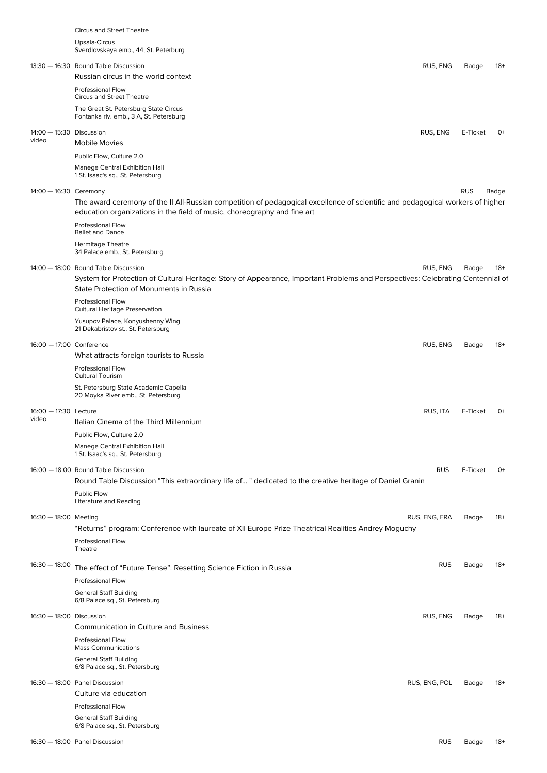|                                | <b>Circus and Street Theatre</b><br>Upsala-Circus<br>Sverdlovskaya emb., 44, St. Peterburg                                                                                                                         |               |            |       |
|--------------------------------|--------------------------------------------------------------------------------------------------------------------------------------------------------------------------------------------------------------------|---------------|------------|-------|
|                                | 13:30 - 16:30 Round Table Discussion<br>Russian circus in the world context                                                                                                                                        | RUS, ENG      | Badge      | $18+$ |
|                                | <b>Professional Flow</b>                                                                                                                                                                                           |               |            |       |
|                                | <b>Circus and Street Theatre</b><br>The Great St. Petersburg State Circus<br>Fontanka riv. emb., 3 A, St. Petersburg                                                                                               |               |            |       |
| 14:00 - 15:30 Discussion       |                                                                                                                                                                                                                    | RUS, ENG      | E-Ticket   | 0+    |
| video                          | <b>Mobile Movies</b>                                                                                                                                                                                               |               |            |       |
|                                | Public Flow, Culture 2.0                                                                                                                                                                                           |               |            |       |
|                                | Manege Central Exhibition Hall<br>1 St. Isaac's sq., St. Petersburg                                                                                                                                                |               |            |       |
| 14:00 - 16:30 Ceremony         | The award ceremony of the II All-Russian competition of pedagogical excellence of scientific and pedagogical workers of higher<br>education organizations in the field of music, choreography and fine art         |               | <b>RUS</b> | Badge |
|                                | <b>Professional Flow</b><br><b>Ballet and Dance</b>                                                                                                                                                                |               |            |       |
|                                | <b>Hermitage Theatre</b><br>34 Palace emb., St. Petersburg                                                                                                                                                         |               |            |       |
|                                | 14:00 - 18:00 Round Table Discussion<br>System for Protection of Cultural Heritage: Story of Appearance, Important Problems and Perspectives: Celebrating Centennial of<br>State Protection of Monuments in Russia | RUS, ENG      | Badge      | $18+$ |
|                                | Professional Flow<br><b>Cultural Heritage Preservation</b>                                                                                                                                                         |               |            |       |
|                                | Yusupov Palace, Konyushenny Wing<br>21 Dekabristov st., St. Petersburg                                                                                                                                             |               |            |       |
| 16:00 - 17:00 Conference       |                                                                                                                                                                                                                    | RUS, ENG      | Badge      | $18+$ |
|                                | What attracts foreign tourists to Russia                                                                                                                                                                           |               |            |       |
|                                | Professional Flow<br><b>Cultural Tourism</b>                                                                                                                                                                       |               |            |       |
|                                | St. Petersburg State Academic Capella<br>20 Moyka River emb., St. Petersburg                                                                                                                                       |               |            |       |
| 16:00 - 17:30 Lecture<br>video | Italian Cinema of the Third Millennium                                                                                                                                                                             | RUS, ITA      | E-Ticket   | $0+$  |
|                                | Public Flow, Culture 2.0                                                                                                                                                                                           |               |            |       |
|                                | Manege Central Exhibition Hall<br>1 St. Isaac's sq., St. Petersburg                                                                                                                                                |               |            |       |
|                                | 16:00 - 18:00 Round Table Discussion<br>Round Table Discussion "This extraordinary life of" dedicated to the creative heritage of Daniel Granin                                                                    | <b>RUS</b>    | E-Ticket   | $0+$  |
|                                | Public Flow<br>Literature and Reading                                                                                                                                                                              |               |            |       |
| 16:30 - 18:00 Meeting          |                                                                                                                                                                                                                    | RUS, ENG, FRA | Badge      | $18+$ |
|                                | "Returns" program: Conference with laureate of XII Europe Prize Theatrical Realities Andrey Moguchy                                                                                                                |               |            |       |
|                                | Professional Flow<br>Theatre                                                                                                                                                                                       |               |            |       |
| $16:30 - 18:00$                | The effect of "Future Tense": Resetting Science Fiction in Russia                                                                                                                                                  | <b>RUS</b>    | Badge      | 18+   |
|                                | <b>Professional Flow</b>                                                                                                                                                                                           |               |            |       |
|                                | <b>General Staff Building</b><br>6/8 Palace sq., St. Petersburg                                                                                                                                                    |               |            |       |
| 16:30 - 18:00 Discussion       | <b>Communication in Culture and Business</b>                                                                                                                                                                       | RUS, ENG      | Badge      | $18+$ |
|                                | <b>Professional Flow</b><br><b>Mass Communications</b>                                                                                                                                                             |               |            |       |
|                                | <b>General Staff Building</b><br>6/8 Palace sq., St. Petersburg                                                                                                                                                    |               |            |       |
|                                | 16:30 - 18:00 Panel Discussion                                                                                                                                                                                     | RUS, ENG, POL | Badge      | $18+$ |
|                                | Culture via education                                                                                                                                                                                              |               |            |       |
|                                | <b>Professional Flow</b><br><b>General Staff Building</b>                                                                                                                                                          |               |            |       |
|                                | 6/8 Palace sq., St. Petersburg                                                                                                                                                                                     |               |            |       |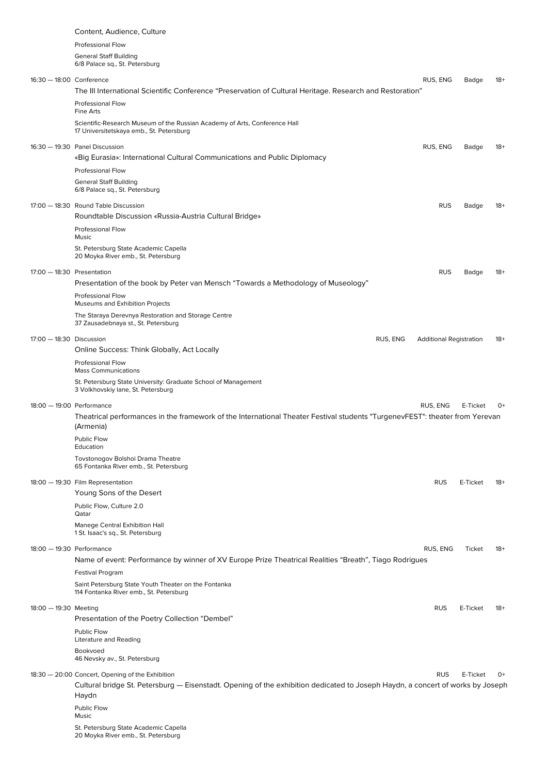|  | Content, Audience, Culture                                                                                                                                                         |                                |          |       |
|--|------------------------------------------------------------------------------------------------------------------------------------------------------------------------------------|--------------------------------|----------|-------|
|  | <b>Professional Flow</b>                                                                                                                                                           |                                |          |       |
|  | <b>General Staff Building</b>                                                                                                                                                      |                                |          |       |
|  | 6/8 Palace sq., St. Petersburg                                                                                                                                                     |                                |          |       |
|  | 16:30 - 18:00 Conference                                                                                                                                                           | RUS, ENG                       | Badge    | 18+   |
|  | The III International Scientific Conference "Preservation of Cultural Heritage. Research and Restoration"                                                                          |                                |          |       |
|  | Professional Flow                                                                                                                                                                  |                                |          |       |
|  | Fine Arts                                                                                                                                                                          |                                |          |       |
|  | Scientific-Research Museum of the Russian Academy of Arts, Conference Hall                                                                                                         |                                |          |       |
|  | 17 Universitetskaya emb., St. Petersburg                                                                                                                                           |                                |          |       |
|  | 16:30 - 19:30 Panel Discussion                                                                                                                                                     | RUS, ENG                       | Badge    | 18+   |
|  | «Big Eurasia»: International Cultural Communications and Public Diplomacy                                                                                                          |                                |          |       |
|  | <b>Professional Flow</b>                                                                                                                                                           |                                |          |       |
|  | <b>General Staff Building</b>                                                                                                                                                      |                                |          |       |
|  | 6/8 Palace sq., St. Petersburg                                                                                                                                                     |                                |          |       |
|  | 17:00 - 18:30 Round Table Discussion                                                                                                                                               | <b>RUS</b>                     | Badge    | $18+$ |
|  | Roundtable Discussion «Russia-Austria Cultural Bridge»                                                                                                                             |                                |          |       |
|  | Professional Flow                                                                                                                                                                  |                                |          |       |
|  | Music                                                                                                                                                                              |                                |          |       |
|  | St. Petersburg State Academic Capella<br>20 Moyka River emb., St. Petersburg                                                                                                       |                                |          |       |
|  |                                                                                                                                                                                    |                                |          |       |
|  | 17:00 - 18:30 Presentation                                                                                                                                                         | <b>RUS</b>                     | Badge    | $18+$ |
|  | Presentation of the book by Peter van Mensch "Towards a Methodology of Museology"                                                                                                  |                                |          |       |
|  | <b>Professional Flow</b>                                                                                                                                                           |                                |          |       |
|  | Museums and Exhibition Projects                                                                                                                                                    |                                |          |       |
|  | The Staraya Derevnya Restoration and Storage Centre<br>37 Zausadebnaya st., St. Petersburg                                                                                         |                                |          |       |
|  |                                                                                                                                                                                    |                                |          |       |
|  | 17:00 - 18:30 Discussion<br>RUS, ENG                                                                                                                                               | <b>Additional Registration</b> |          | 18+   |
|  | Online Success: Think Globally, Act Locally                                                                                                                                        |                                |          |       |
|  | <b>Professional Flow</b><br><b>Mass Communications</b>                                                                                                                             |                                |          |       |
|  | St. Petersburg State University: Graduate School of Management                                                                                                                     |                                |          |       |
|  | 3 Volkhovskiy lane, St. Petersburg                                                                                                                                                 |                                |          |       |
|  | 18:00 - 19:00 Performance                                                                                                                                                          | RUS, ENG                       | E-Ticket | 0+    |
|  | Theatrical performances in the framework of the International Theater Festival students "TurgenevFEST": theater from Yerevan                                                       |                                |          |       |
|  | (Armenia)                                                                                                                                                                          |                                |          |       |
|  | <b>Public Flow</b>                                                                                                                                                                 |                                |          |       |
|  | Education                                                                                                                                                                          |                                |          |       |
|  | Tovstonogov Bolshoi Drama Theatre                                                                                                                                                  |                                |          |       |
|  | 65 Fontanka River emb., St. Petersburg                                                                                                                                             |                                |          |       |
|  | 18:00 - 19:30 Film Representation                                                                                                                                                  | <b>RUS</b>                     | E-Ticket | 18+   |
|  | Young Sons of the Desert                                                                                                                                                           |                                |          |       |
|  | Public Flow, Culture 2.0                                                                                                                                                           |                                |          |       |
|  | Qatar                                                                                                                                                                              |                                |          |       |
|  | Manege Central Exhibition Hall<br>1 St. Isaac's sq., St. Petersburg                                                                                                                |                                |          |       |
|  |                                                                                                                                                                                    |                                |          |       |
|  | 18:00 - 19:30 Performance                                                                                                                                                          | RUS, ENG                       | Ticket   | $18+$ |
|  | Name of event: Performance by winner of XV Europe Prize Theatrical Realities "Breath", Tiago Rodrigues                                                                             |                                |          |       |
|  | <b>Festival Program</b>                                                                                                                                                            |                                |          |       |
|  | Saint Petersburg State Youth Theater on the Fontanka<br>114 Fontanka River emb., St. Petersburg                                                                                    |                                |          |       |
|  |                                                                                                                                                                                    |                                |          |       |
|  | 18:00 - 19:30 Meeting                                                                                                                                                              | <b>RUS</b>                     | E-Ticket | $18+$ |
|  | Presentation of the Poetry Collection "Dembel"                                                                                                                                     |                                |          |       |
|  | Public Flow                                                                                                                                                                        |                                |          |       |
|  | Literature and Reading<br>Bookvoed                                                                                                                                                 |                                |          |       |
|  | 46 Nevsky av., St. Petersburg                                                                                                                                                      |                                |          |       |
|  |                                                                                                                                                                                    |                                |          |       |
|  | 18:30 - 20:00 Concert, Opening of the Exhibition<br>Cultural bridge St. Petersburg — Eisenstadt. Opening of the exhibition dedicated to Joseph Haydn, a concert of works by Joseph | <b>RUS</b>                     | E-Ticket | 0+    |
|  | Haydn                                                                                                                                                                              |                                |          |       |
|  | Public Flow                                                                                                                                                                        |                                |          |       |
|  | Music                                                                                                                                                                              |                                |          |       |
|  | St. Petersburg State Academic Capella<br>20 Moyka River emb., St. Petersburg                                                                                                       |                                |          |       |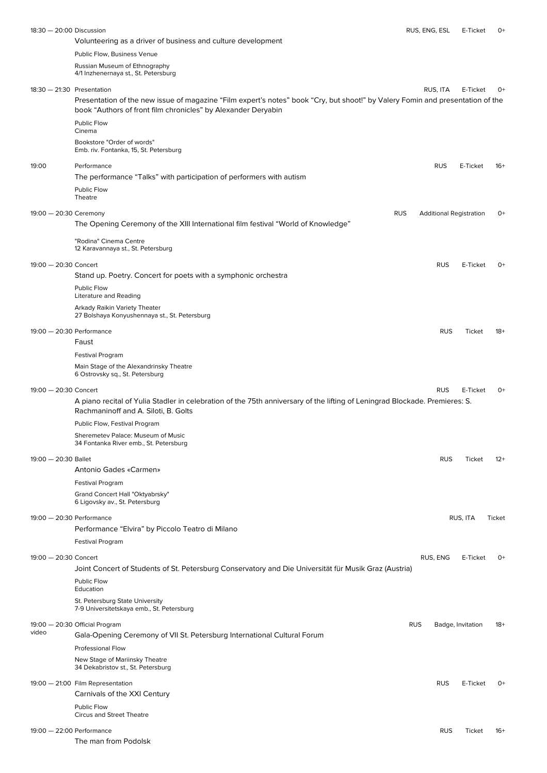| 18:30 - 20:00 Discussion     |                                                                                                                                | RUS, ENG, ESL |            | E-Ticket                       | 0+     |
|------------------------------|--------------------------------------------------------------------------------------------------------------------------------|---------------|------------|--------------------------------|--------|
|                              | Volunteering as a driver of business and culture development                                                                   |               |            |                                |        |
|                              | Public Flow, Business Venue                                                                                                    |               |            |                                |        |
|                              | Russian Museum of Ethnography                                                                                                  |               |            |                                |        |
|                              | 4/1 Inzhenernaya st., St. Petersburg                                                                                           |               |            |                                |        |
| $18:30 - 21:30$ Presentation |                                                                                                                                |               | RUS. ITA   | E-Ticket                       | 0+     |
|                              | Presentation of the new issue of magazine "Film expert's notes" book "Cry, but shoot!" by Valery Fomin and presentation of the |               |            |                                |        |
|                              | book "Authors of front film chronicles" by Alexander Deryabin                                                                  |               |            |                                |        |
|                              | Public Flow<br>Cinema                                                                                                          |               |            |                                |        |
|                              | Bookstore "Order of words"                                                                                                     |               |            |                                |        |
|                              | Emb. riv. Fontanka, 15, St. Petersburg                                                                                         |               |            |                                |        |
| 19:00                        | Performance                                                                                                                    |               | <b>RUS</b> | E-Ticket                       | $16+$  |
|                              | The performance "Talks" with participation of performers with autism                                                           |               |            |                                |        |
|                              | Public Flow                                                                                                                    |               |            |                                |        |
|                              | Theatre                                                                                                                        |               |            |                                |        |
| 19:00 - 20:30 Ceremony       | <b>RUS</b>                                                                                                                     |               |            | <b>Additional Registration</b> | $O+$   |
|                              | The Opening Ceremony of the XIII International film festival "World of Knowledge"                                              |               |            |                                |        |
|                              | "Rodina" Cinema Centre                                                                                                         |               |            |                                |        |
|                              | 12 Karavannaya st., St. Petersburg                                                                                             |               |            |                                |        |
| 19:00 - 20:30 Concert        |                                                                                                                                |               | <b>RUS</b> | E-Ticket                       | 0+     |
|                              | Stand up. Poetry. Concert for poets with a symphonic orchestra                                                                 |               |            |                                |        |
|                              | Public Flow                                                                                                                    |               |            |                                |        |
|                              | <b>Literature and Reading</b>                                                                                                  |               |            |                                |        |
|                              | Arkady Raikin Variety Theater<br>27 Bolshaya Konyushennaya st., St. Petersburg                                                 |               |            |                                |        |
|                              |                                                                                                                                |               |            |                                |        |
| 19:00 - 20:30 Performance    |                                                                                                                                |               | <b>RUS</b> | Ticket                         | $18+$  |
|                              | Faust                                                                                                                          |               |            |                                |        |
|                              | Festival Program                                                                                                               |               |            |                                |        |
|                              | Main Stage of the Alexandrinsky Theatre<br>6 Ostrovsky sq., St. Petersburg                                                     |               |            |                                |        |
|                              |                                                                                                                                |               |            |                                |        |
| 19:00 - 20:30 Concert        |                                                                                                                                |               | <b>RUS</b> | E-Ticket                       | $O+$   |
|                              | A piano recital of Yulia Stadler in celebration of the 75th anniversary of the lifting of Leningrad Blockade. Premieres: S.    |               |            |                                |        |
|                              | Rachmaninoff and A. Siloti, B. Golts                                                                                           |               |            |                                |        |
|                              | Public Flow, Festival Program                                                                                                  |               |            |                                |        |
|                              | Sheremetev Palace: Museum of Music<br>34 Fontanka River emb., St. Petersburg                                                   |               |            |                                |        |
| 19:00 - 20:30 Ballet         |                                                                                                                                |               | <b>RUS</b> | Ticket                         | $12+$  |
|                              | Antonio Gades «Carmen»                                                                                                         |               |            |                                |        |
|                              |                                                                                                                                |               |            |                                |        |
|                              | Festival Program                                                                                                               |               |            |                                |        |
|                              | Grand Concert Hall "Oktyabrsky"<br>6 Ligovsky av., St. Petersburg                                                              |               |            |                                |        |
| 19:00 - 20:30 Performance    |                                                                                                                                |               |            | RUS, ITA                       | Ticket |
|                              | Performance "Elvira" by Piccolo Teatro di Milano                                                                               |               |            |                                |        |
|                              |                                                                                                                                |               |            |                                |        |
|                              | <b>Festival Program</b>                                                                                                        |               |            |                                |        |
| 19:00 - 20:30 Concert        |                                                                                                                                |               | RUS, ENG   | E-Ticket                       | 0+     |
|                              | Joint Concert of Students of St. Petersburg Conservatory and Die Universität für Musik Graz (Austria)                          |               |            |                                |        |
|                              | Public Flow                                                                                                                    |               |            |                                |        |
|                              | Education                                                                                                                      |               |            |                                |        |
|                              | St. Petersburg State University<br>7-9 Universitetskaya emb., St. Petersburg                                                   |               |            |                                |        |
|                              | 19:00 - 20:30 Official Program                                                                                                 | <b>RUS</b>    |            | Badge, Invitation              | 18+    |
| video                        | Gala-Opening Ceremony of VII St. Petersburg International Cultural Forum                                                       |               |            |                                |        |
|                              | <b>Professional Flow</b>                                                                                                       |               |            |                                |        |
|                              | New Stage of Mariinsky Theatre                                                                                                 |               |            |                                |        |
|                              | 34 Dekabristov st., St. Petersburg                                                                                             |               |            |                                |        |
|                              | 19:00 - 21:00 Film Representation                                                                                              |               | <b>RUS</b> | E-Ticket                       | $0+$   |
|                              | Carnivals of the XXI Century                                                                                                   |               |            |                                |        |
|                              | Public Flow                                                                                                                    |               |            |                                |        |
|                              | <b>Circus and Street Theatre</b>                                                                                               |               |            |                                |        |
| 19:00 - 22:00 Performance    |                                                                                                                                |               | <b>RUS</b> | Ticket                         | $16+$  |
|                              | The man from Podolsk                                                                                                           |               |            |                                |        |
|                              |                                                                                                                                |               |            |                                |        |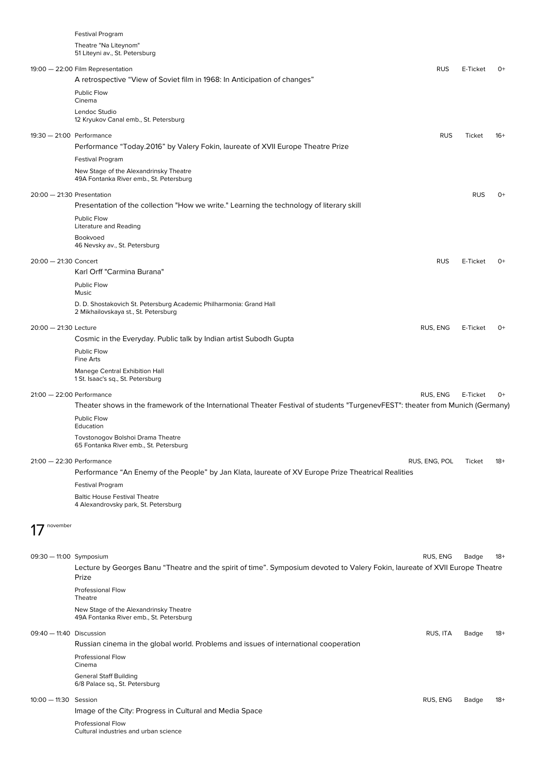Festival Program Theatre "Na Liteynom" 51 Liteyni av., St. Petersburg

|                              | or Lite yill av., ot. i etersioarg                                                                                                    |               |            |       |
|------------------------------|---------------------------------------------------------------------------------------------------------------------------------------|---------------|------------|-------|
|                              | 19:00 - 22:00 Film Representation<br>A retrospective "View of Soviet film in 1968: In Anticipation of changes"                        | <b>RUS</b>    | E-Ticket   | $O+$  |
|                              | Public Flow<br>Cinema                                                                                                                 |               |            |       |
|                              | Lendoc Studio<br>12 Kryukov Canal emb., St. Petersburg                                                                                |               |            |       |
| 19:30 - 21:00 Performance    |                                                                                                                                       | <b>RUS</b>    | Ticket     | $16+$ |
|                              | Performance "Today.2016" by Valery Fokin, laureate of XVII Europe Theatre Prize                                                       |               |            |       |
|                              | Festival Program                                                                                                                      |               |            |       |
|                              | New Stage of the Alexandrinsky Theatre<br>49A Fontanka River emb., St. Petersburg                                                     |               |            |       |
| $20:00 - 21:30$ Presentation | Presentation of the collection "How we write." Learning the technology of literary skill                                              |               | <b>RUS</b> | 0+    |
|                              | <b>Public Flow</b><br><b>Literature and Reading</b>                                                                                   |               |            |       |
|                              | Bookvoed<br>46 Nevsky av., St. Petersburg                                                                                             |               |            |       |
| 20:00 - 21:30 Concert        |                                                                                                                                       | <b>RUS</b>    | E-Ticket   | $O+$  |
|                              | Karl Orff "Carmina Burana"                                                                                                            |               |            |       |
|                              | Public Flow<br>Music                                                                                                                  |               |            |       |
|                              | D. D. Shostakovich St. Petersburg Academic Philharmonia: Grand Hall<br>2 Mikhailovskaya st., St. Petersburg                           |               |            |       |
| 20:00 - 21:30 Lecture        |                                                                                                                                       | RUS, ENG      | E-Ticket   | $O+$  |
|                              | Cosmic in the Everyday. Public talk by Indian artist Subodh Gupta                                                                     |               |            |       |
|                              | Public Flow<br>Fine Arts                                                                                                              |               |            |       |
|                              | Manege Central Exhibition Hall<br>1 St. Isaac's sq., St. Petersburg                                                                   |               |            |       |
| $21:00 - 22:00$ Performance  | Theater shows in the framework of the International Theater Festival of students "TurgenevFEST": theater from Munich (Germany)        | RUS, ENG      | E-Ticket   | 0+    |
|                              | Public Flow<br>Education                                                                                                              |               |            |       |
|                              | Tovstonogov Bolshoi Drama Theatre<br>65 Fontanka River emb., St. Petersburg                                                           |               |            |       |
| $21:00 - 22:30$ Performance  |                                                                                                                                       | RUS, ENG, POL | Ticket     | $18+$ |
|                              | Performance "An Enemy of the People" by Jan Klata, laureate of XV Europe Prize Theatrical Realities<br>Festival Program               |               |            |       |
|                              | <b>Baltic House Festival Theatre</b>                                                                                                  |               |            |       |
|                              | 4 Alexandrovsky park, St. Petersburg                                                                                                  |               |            |       |
| november                     |                                                                                                                                       |               |            |       |
| 09:30 - 11:00 Symposium      |                                                                                                                                       | RUS, ENG      | Badge      | $18+$ |
|                              | Lecture by Georges Banu "Theatre and the spirit of time". Symposium devoted to Valery Fokin, laureate of XVII Europe Theatre<br>Prize |               |            |       |
|                              | <b>Professional Flow</b><br>Theatre                                                                                                   |               |            |       |
|                              | New Stage of the Alexandrinsky Theatre<br>49A Fontanka River emb., St. Petersburg                                                     |               |            |       |
| 09:40 - 11:40 Discussion     |                                                                                                                                       | RUS, ITA      | Badge      | $18+$ |
|                              | Russian cinema in the global world. Problems and issues of international cooperation<br><b>Professional Flow</b>                      |               |            |       |
|                              | Cinema                                                                                                                                |               |            |       |
|                              |                                                                                                                                       |               |            |       |
|                              | <b>General Staff Building</b><br>6/8 Palace sq., St. Petersburg                                                                       |               |            |       |
| 10:00 - 11:30 Session        |                                                                                                                                       | RUS, ENG      | Badge      | $18+$ |
|                              | Image of the City: Progress in Cultural and Media Space                                                                               |               |            |       |

Cultural industries and urban science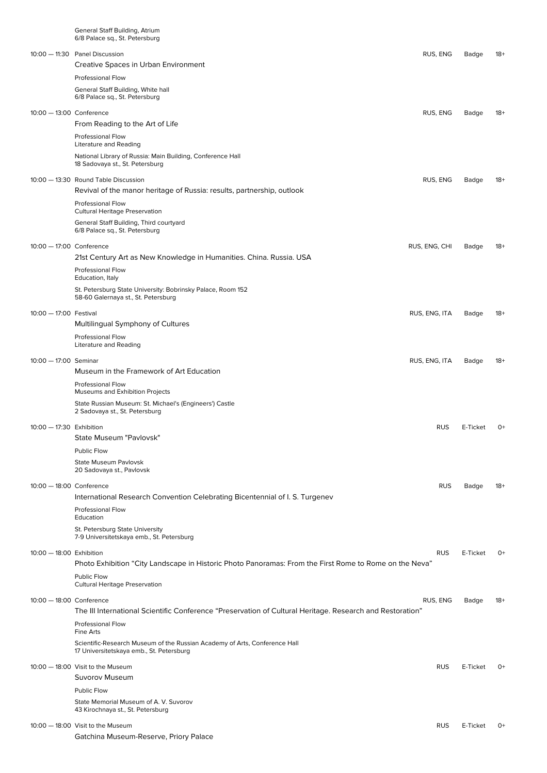|                          | General Staff Building, Atrium<br>6/8 Palace sq., St. Petersburg                                                       |               |          |       |
|--------------------------|------------------------------------------------------------------------------------------------------------------------|---------------|----------|-------|
|                          | 10:00 - 11:30 Panel Discussion<br>Creative Spaces in Urban Environment                                                 | RUS, ENG      | Badge    | 18+   |
|                          | Professional Flow                                                                                                      |               |          |       |
|                          | General Staff Building, White hall<br>6/8 Palace sq., St. Petersburg                                                   |               |          |       |
| 10:00 - 13:00 Conference |                                                                                                                        | RUS, ENG      | Badge    | 18+   |
|                          | From Reading to the Art of Life                                                                                        |               |          |       |
|                          | Professional Flow<br>Literature and Reading                                                                            |               |          |       |
|                          | National Library of Russia: Main Building, Conference Hall<br>18 Sadovaya st., St. Petersburg                          |               |          |       |
|                          | 10:00 - 13:30 Round Table Discussion<br>Revival of the manor heritage of Russia: results, partnership, outlook         | RUS, ENG      | Badge    | 18+   |
|                          | Professional Flow<br><b>Cultural Heritage Preservation</b>                                                             |               |          |       |
|                          | General Staff Building, Third courtyard<br>6/8 Palace sq., St. Petersburg                                              |               |          |       |
| 10:00 - 17:00 Conference |                                                                                                                        | RUS, ENG, CHI | Badge    | 18+   |
|                          | 21st Century Art as New Knowledge in Humanities. China. Russia. USA<br><b>Professional Flow</b>                        |               |          |       |
|                          | Education, Italy<br>St. Petersburg State University: Bobrinsky Palace, Room 152                                        |               |          |       |
|                          | 58-60 Galernaya st., St. Petersburg                                                                                    |               |          |       |
| 10:00 - 17:00 Festival   | Multilingual Symphony of Cultures                                                                                      | RUS, ENG, ITA | Badge    | 18+   |
|                          | <b>Professional Flow</b><br>Literature and Reading                                                                     |               |          |       |
| 10:00 - 17:00 Seminar    |                                                                                                                        | RUS, ENG, ITA | Badge    | 18+   |
|                          | Museum in the Framework of Art Education<br><b>Professional Flow</b>                                                   |               |          |       |
|                          | Museums and Exhibition Projects                                                                                        |               |          |       |
|                          | State Russian Museum: St. Michael's (Engineers') Castle<br>2 Sadovaya st., St. Petersburg                              |               |          |       |
| 10:00 - 17:30 Exhibition | State Museum "Pavlovsk"                                                                                                | <b>RUS</b>    | E-Ticket | 0+    |
|                          | Public Flow                                                                                                            |               |          |       |
|                          | <b>State Museum Pavlovsk</b><br>20 Sadovaya st., Pavlovsk                                                              |               |          |       |
| 10:00 - 18:00 Conference |                                                                                                                        | <b>RUS</b>    | Badge    | $18+$ |
|                          | International Research Convention Celebrating Bicentennial of I.S. Turgenev                                            |               |          |       |
|                          | <b>Professional Flow</b><br>Education                                                                                  |               |          |       |
|                          | St. Petersburg State University<br>7-9 Universitetskaya emb., St. Petersburg                                           |               |          |       |
| 10:00 - 18:00 Exhibition |                                                                                                                        | <b>RUS</b>    | E-Ticket | $O+$  |
|                          | Photo Exhibition "City Landscape in Historic Photo Panoramas: From the First Rome to Rome on the Neva"<br>Public Flow  |               |          |       |
|                          | <b>Cultural Heritage Preservation</b>                                                                                  |               |          |       |
| 10:00 - 18:00 Conference | The III International Scientific Conference "Preservation of Cultural Heritage. Research and Restoration"              | RUS, ENG      | Badge    | -18   |
|                          | <b>Professional Flow</b><br>Fine Arts                                                                                  |               |          |       |
|                          | Scientific-Research Museum of the Russian Academy of Arts, Conference Hall<br>17 Universitetskaya emb., St. Petersburg |               |          |       |
|                          | 10:00 - 18:00 Visit to the Museum                                                                                      | <b>RUS</b>    | E-Ticket | $0+$  |
|                          | Suvorov Museum                                                                                                         |               |          |       |
|                          | Public Flow<br>State Memorial Museum of A. V. Suvorov                                                                  |               |          |       |
|                          | 43 Kirochnaya st., St. Petersburg                                                                                      |               |          |       |
|                          | 10:00 - 18:00 Visit to the Museum<br>Gatchina Museum-Reserve, Priory Palace                                            | <b>RUS</b>    | E-Ticket | $0+$  |
|                          |                                                                                                                        |               |          |       |